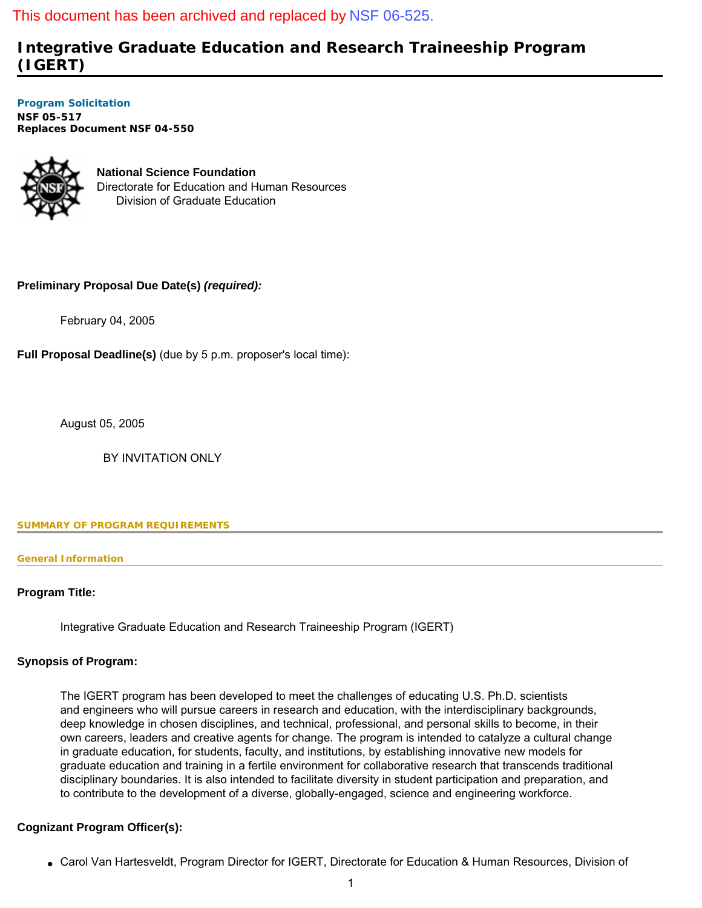## This document has been archived and replaced by [NSF 06-525.](http://www.nsf.gov/publications/pub_summ.jsp?ods_key=nsf06525)

# **Integrative Graduate Education and Research Traineeship Program (IGERT)**

**[Program Solicitation](#page-3-0)  NSF 05-517**  *Replaces Document* **NSF 04-550** 



**National Science Foundation** Directorate for Education and Human Resources Division of Graduate Education

## **Preliminary Proposal Due Date(s)** *(required):*

February 04, 2005

**Full Proposal Deadline(s)** (due by 5 p.m. proposer's local time):

August 05, 2005

BY INVITATION ONLY

<span id="page-0-0"></span>**SUMMARY OF PROGRAM REQUIREMENTS**

### **General Information**

## **Program Title:**

Integrative Graduate Education and Research Traineeship Program (IGERT)

## **Synopsis of Program:**

The IGERT program has been developed to meet the challenges of educating U.S. Ph.D. scientists and engineers who will pursue careers in research and education, with the interdisciplinary backgrounds, deep knowledge in chosen disciplines, and technical, professional, and personal skills to become, in their own careers, leaders and creative agents for change. The program is intended to catalyze a cultural change in graduate education, for students, faculty, and institutions, by establishing innovative new models for graduate education and training in a fertile environment for collaborative research that transcends traditional disciplinary boundaries. It is also intended to facilitate diversity in student participation and preparation, and to contribute to the development of a diverse, globally-engaged, science and engineering workforce.

## **Cognizant Program Officer(s):**

● Carol Van Hartesveldt, Program Director for IGERT, Directorate for Education & Human Resources, Division of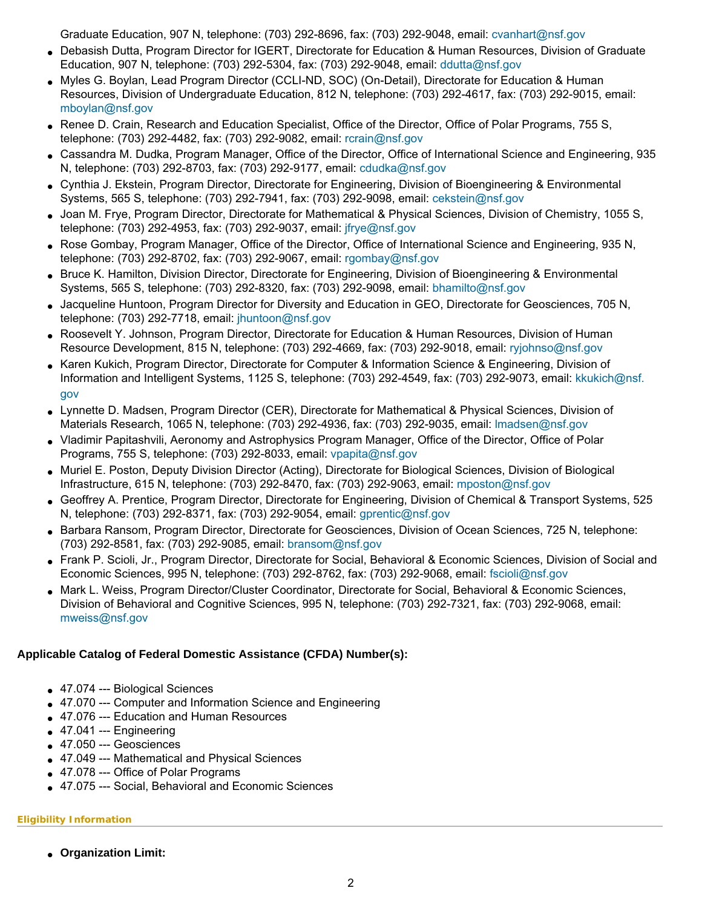Graduate Education, 907 N, telephone: (703) 292-8696, fax: (703) 292-9048, email: [cvanhart@nsf.gov](mailto:cvanhart@nsf.gov)

- Debasish Dutta, Program Director for IGERT, Directorate for Education & Human Resources, Division of Graduate Education, 907 N, telephone: (703) 292-5304, fax: (703) 292-9048, email: [ddutta@nsf.gov](mailto:ddutta@nsf.gov)
- Myles G. Boylan, Lead Program Director (CCLI-ND, SOC) (On-Detail), Directorate for Education & Human Resources, Division of Undergraduate Education, 812 N, telephone: (703) 292-4617, fax: (703) 292-9015, email: [mboylan@nsf.gov](mailto:mboylan@nsf.gov)
- Renee D. Crain, Research and Education Specialist, Office of the Director, Office of Polar Programs, 755 S, telephone: (703) 292-4482, fax: (703) 292-9082, email: [rcrain@nsf.gov](mailto:rcrain@nsf.gov)
- Cassandra M. Dudka, Program Manager, Office of the Director, Office of International Science and Engineering, 935 N, telephone: (703) 292-8703, fax: (703) 292-9177, email: [cdudka@nsf.gov](mailto:cdudka@nsf.gov)
- Cynthia J. Ekstein, Program Director, Directorate for Engineering, Division of Bioengineering & Environmental Systems, 565 S, telephone: (703) 292-7941, fax: (703) 292-9098, email: [cekstein@nsf.gov](mailto:cekstein@nsf.gov)
- Joan M. Frye, Program Director, Directorate for Mathematical & Physical Sciences, Division of Chemistry, 1055 S, telephone: (703) 292-4953, fax: (703) 292-9037, email: [jfrye@nsf.gov](mailto:jfrye@nsf.gov)
- Rose Gombay, Program Manager, Office of the Director, Office of International Science and Engineering, 935 N, telephone: (703) 292-8702, fax: (703) 292-9067, email: [rgombay@nsf.gov](mailto:rgombay@nsf.gov)
- Bruce K. Hamilton, Division Director, Directorate for Engineering, Division of Bioengineering & Environmental Systems, 565 S, telephone: (703) 292-8320, fax: (703) 292-9098, email: [bhamilto@nsf.gov](mailto:bhamilto@nsf.gov)
- Jacqueline Huntoon, Program Director for Diversity and Education in GEO, Directorate for Geosciences, 705 N, telephone: (703) 292-7718, email: [jhuntoon@nsf.gov](mailto:jhuntoon@nsf.gov)
- Roosevelt Y. Johnson, Program Director, Directorate for Education & Human Resources, Division of Human Resource Development, 815 N, telephone: (703) 292-4669, fax: (703) 292-9018, email: [ryjohnso@nsf.gov](mailto:ryjohnso@nsf.gov)
- Karen Kukich, Program Director, Directorate for Computer & Information Science & Engineering, Division of Information and Intelligent Systems, 1125 S, telephone: (703) 292-4549, fax: (703) 292-9073, email: [kkukich@nsf.](mailto:kkukich@nsf.gov) [gov](mailto:kkukich@nsf.gov)
- Lynnette D. Madsen, Program Director (CER), Directorate for Mathematical & Physical Sciences, Division of Materials Research, 1065 N, telephone: (703) 292-4936, fax: (703) 292-9035, email: [lmadsen@nsf.gov](mailto:lmadsen@nsf.gov)
- Vladimir Papitashvili, Aeronomy and Astrophysics Program Manager, Office of the Director, Office of Polar Programs, 755 S, telephone: (703) 292-8033, email: [vpapita@nsf.gov](mailto:vpapita@nsf.gov)
- Muriel E. Poston, Deputy Division Director (Acting), Directorate for Biological Sciences, Division of Biological Infrastructure, 615 N, telephone: (703) 292-8470, fax: (703) 292-9063, email: [mposton@nsf.gov](mailto:mposton@nsf.gov)
- Geoffrey A. Prentice, Program Director, Directorate for Engineering, Division of Chemical & Transport Systems, 525 N, telephone: (703) 292-8371, fax: (703) 292-9054, email: [gprentic@nsf.gov](mailto:gprentic@nsf.gov)
- Barbara Ransom, Program Director, Directorate for Geosciences, Division of Ocean Sciences, 725 N, telephone: (703) 292-8581, fax: (703) 292-9085, email: [bransom@nsf.gov](mailto:bransom@nsf.gov)
- Frank P. Scioli, Jr., Program Director, Directorate for Social, Behavioral & Economic Sciences, Division of Social and Economic Sciences, 995 N, telephone: (703) 292-8762, fax: (703) 292-9068, email: [fscioli@nsf.gov](mailto:fscioli@nsf.gov)
- Mark L. Weiss, Program Director/Cluster Coordinator, Directorate for Social, Behavioral & Economic Sciences, Division of Behavioral and Cognitive Sciences, 995 N, telephone: (703) 292-7321, fax: (703) 292-9068, email: [mweiss@nsf.gov](mailto:mweiss@nsf.gov)

## **Applicable Catalog of Federal Domestic Assistance (CFDA) Number(s):**

- 47.074 --- Biological Sciences
- 47.070 --- Computer and Information Science and Engineering
- 47.076 --- Education and Human Resources
- $\bullet$  47.041 --- Engineering
- $\bullet$  47.050 --- Geosciences
- 47.049 --- Mathematical and Physical Sciences
- 47.078 --- Office of Polar Programs
- 47.075 --- Social, Behavioral and Economic Sciences

## **Eligibility Information**

● **Organization Limit:**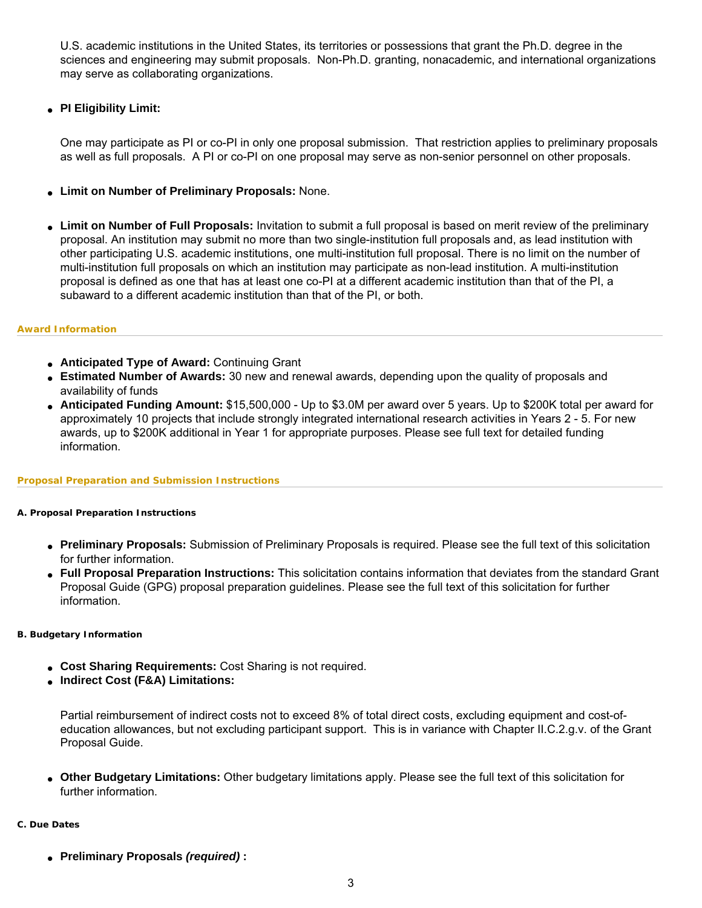U.S. academic institutions in the United States, its territories or possessions that grant the Ph.D. degree in the sciences and engineering may submit proposals. Non-Ph.D. granting, nonacademic, and international organizations may serve as collaborating organizations.

## ● **PI Eligibility Limit:**

One may participate as PI or co-PI in only one proposal submission. That restriction applies to preliminary proposals as well as full proposals. A PI or co-PI on one proposal may serve as non-senior personnel on other proposals.

- **Limit on Number of Preliminary Proposals:** None.
- **Limit on Number of Full Proposals:** Invitation to submit a full proposal is based on merit review of the preliminary proposal. An institution may submit no more than two single-institution full proposals and, as lead institution with other participating U.S. academic institutions, one multi-institution full proposal. There is no limit on the number of multi-institution full proposals on which an institution may participate as non-lead institution. A multi-institution proposal is defined as one that has at least one co-PI at a different academic institution than that of the PI, a subaward to a different academic institution than that of the PI, or both.

### **Award Information**

- **Anticipated Type of Award:** Continuing Grant
- **Estimated Number of Awards:** 30 new and renewal awards, depending upon the quality of proposals and availability of funds
- **Anticipated Funding Amount:** \$15,500,000 Up to \$3.0M per award over 5 years. Up to \$200K total per award for approximately 10 projects that include strongly integrated international research activities in Years 2 - 5. For new awards, up to \$200K additional in Year 1 for appropriate purposes. Please see full text for detailed funding information.

### **Proposal Preparation and Submission Instructions**

### **A. Proposal Preparation Instructions**

- **Preliminary Proposals:** Submission of Preliminary Proposals is required. Please see the full text of this solicitation for further information.
- **Full Proposal Preparation Instructions:** This solicitation contains information that deviates from the standard Grant Proposal Guide (GPG) proposal preparation guidelines. Please see the full text of this solicitation for further information.

### **B. Budgetary Information**

- Cost Sharing Requirements: Cost Sharing is not required.
- **Indirect Cost (F&A) Limitations:**

Partial reimbursement of indirect costs not to exceed 8% of total direct costs, excluding equipment and cost-ofeducation allowances, but not excluding participant support. This is in variance with Chapter II.C.2.g.v. of the Grant Proposal Guide.

● **Other Budgetary Limitations:** Other budgetary limitations apply. Please see the full text of this solicitation for further information.

## **C. Due Dates**

● **Preliminary Proposals** *(required)* **:**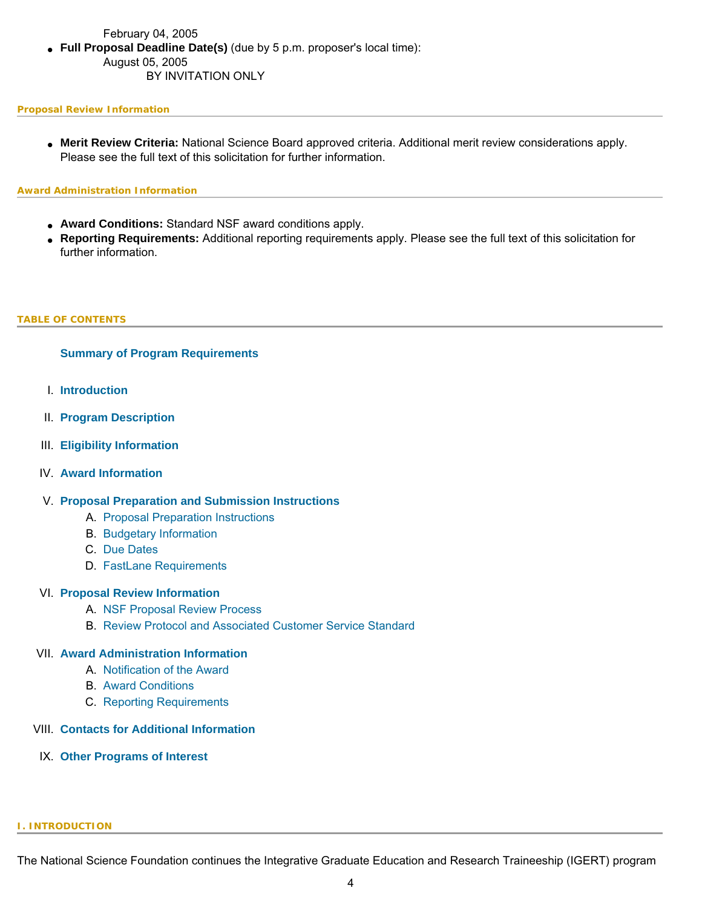## February 04, 2005 ● **Full Proposal Deadline Date(s)** (due by 5 p.m. proposer's local time): August 05, 2005 BY INVITATION ONLY

#### **Proposal Review Information**

● **Merit Review Criteria:** National Science Board approved criteria. Additional merit review considerations apply. Please see the full text of this solicitation for further information.

#### **Award Administration Information**

- **Award Conditions:** Standard NSF award conditions apply.
- **Reporting Requirements:** Additional reporting requirements apply. Please see the full text of this solicitation for further information.

#### <span id="page-3-0"></span>**TABLE OF CONTENTS**

### **[Summary of Program Requirements](#page-0-0)**

- I. **[Introduction](#page-3-1)**
- II. **[Program Description](#page-4-0)**
- III. **[Eligibility Information](#page-5-0)**
- IV. **[Award Information](#page-6-0)**
- V. **[Proposal Preparation and Submission Instructions](#page-6-1)**
	- A. [Proposal Preparation Instructions](#page-6-1)
	- B. [Budgetary Information](#page-13-0)
	- C. [Due Dates](#page-14-0)
	- D. [FastLane Requirements](#page-14-1)

#### VI. **[Proposal Review Information](#page-14-2)**

- A. [NSF Proposal Review Process](#page-14-3)
- B. [Review Protocol and Associated Customer Service Standard](#page-16-0)

#### VII. **[Award Administration Information](#page-17-0)**

- A. [Notification of the Award](#page-17-1)
- B. [Award Conditions](#page-17-2)
- C. [Reporting Requirements](#page-17-3)

### VIII. **[Contacts for Additional Information](#page-18-0)**

<span id="page-3-1"></span>IX. **[Other Programs of Interest](#page-19-0)**

#### **I. INTRODUCTION**

The National Science Foundation continues the Integrative Graduate Education and Research Traineeship (IGERT) program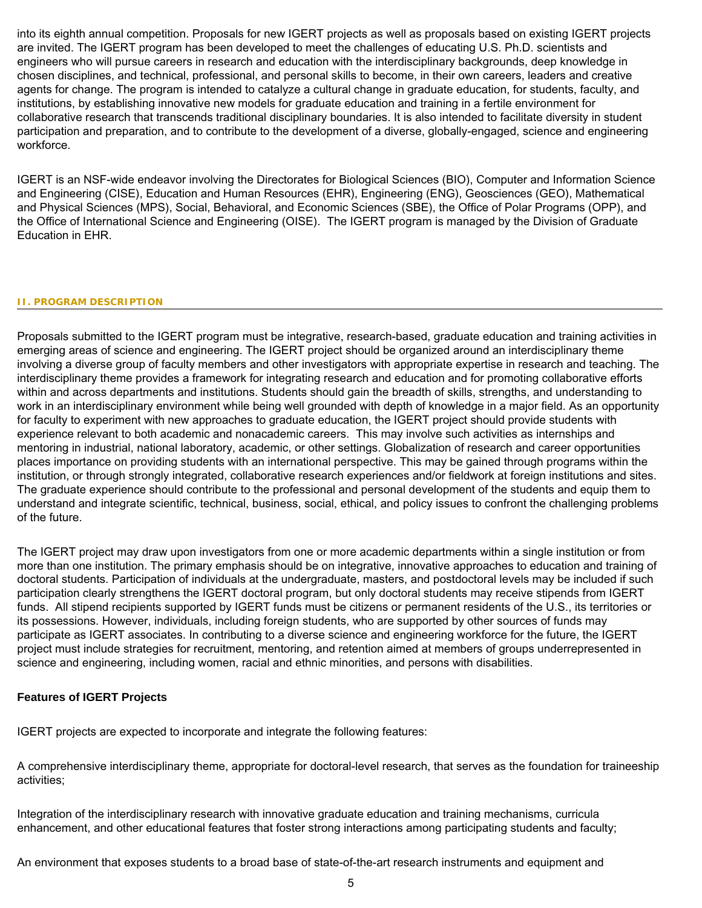into its eighth annual competition. Proposals for new IGERT projects as well as proposals based on existing IGERT projects are invited. The IGERT program has been developed to meet the challenges of educating U.S. Ph.D. scientists and engineers who will pursue careers in research and education with the interdisciplinary backgrounds, deep knowledge in chosen disciplines, and technical, professional, and personal skills to become, in their own careers, leaders and creative agents for change. The program is intended to catalyze a cultural change in graduate education, for students, faculty, and institutions, by establishing innovative new models for graduate education and training in a fertile environment for collaborative research that transcends traditional disciplinary boundaries. It is also intended to facilitate diversity in student participation and preparation, and to contribute to the development of a diverse, globally-engaged, science and engineering workforce.

IGERT is an NSF-wide endeavor involving the Directorates for Biological Sciences (BIO), Computer and Information Science and Engineering (CISE), Education and Human Resources (EHR), Engineering (ENG), Geosciences (GEO), Mathematical and Physical Sciences (MPS), Social, Behavioral, and Economic Sciences (SBE), the Office of Polar Programs (OPP), and the Office of International Science and Engineering (OISE). The IGERT program is managed by the Division of Graduate Education in EHR.

#### <span id="page-4-0"></span>**II. PROGRAM DESCRIPTION**

Proposals submitted to the IGERT program must be integrative, research-based, graduate education and training activities in emerging areas of science and engineering. The IGERT project should be organized around an interdisciplinary theme involving a diverse group of faculty members and other investigators with appropriate expertise in research and teaching. The interdisciplinary theme provides a framework for integrating research and education and for promoting collaborative efforts within and across departments and institutions. Students should gain the breadth of skills, strengths, and understanding to work in an interdisciplinary environment while being well grounded with depth of knowledge in a major field. As an opportunity for faculty to experiment with new approaches to graduate education, the IGERT project should provide students with experience relevant to both academic and nonacademic careers. This may involve such activities as internships and mentoring in industrial, national laboratory, academic, or other settings. Globalization of research and career opportunities places importance on providing students with an international perspective. This may be gained through programs within the institution, or through strongly integrated, collaborative research experiences and/or fieldwork at foreign institutions and sites. The graduate experience should contribute to the professional and personal development of the students and equip them to understand and integrate scientific, technical, business, social, ethical, and policy issues to confront the challenging problems of the future.

The IGERT project may draw upon investigators from one or more academic departments within a single institution or from more than one institution. The primary emphasis should be on integrative, innovative approaches to education and training of doctoral students. Participation of individuals at the undergraduate, masters, and postdoctoral levels may be included if such participation clearly strengthens the IGERT doctoral program, but only doctoral students may receive stipends from IGERT funds. All stipend recipients supported by IGERT funds must be citizens or permanent residents of the U.S., its territories or its possessions. However, individuals, including foreign students, who are supported by other sources of funds may participate as IGERT associates. In contributing to a diverse science and engineering workforce for the future, the IGERT project must include strategies for recruitment, mentoring, and retention aimed at members of groups underrepresented in science and engineering, including women, racial and ethnic minorities, and persons with disabilities.

## **Features of IGERT Projects**

IGERT projects are expected to incorporate and integrate the following features:

A comprehensive interdisciplinary theme, appropriate for doctoral-level research, that serves as the foundation for traineeship activities;

Integration of the interdisciplinary research with innovative graduate education and training mechanisms, curricula enhancement, and other educational features that foster strong interactions among participating students and faculty;

An environment that exposes students to a broad base of state-of-the-art research instruments and equipment and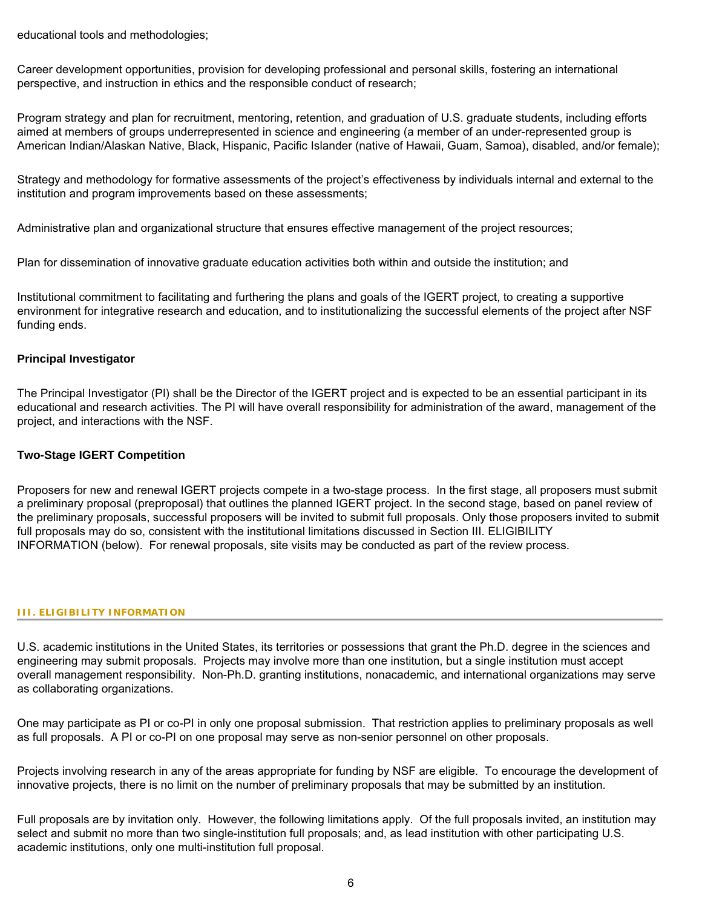educational tools and methodologies;

Career development opportunities, provision for developing professional and personal skills, fostering an international perspective, and instruction in ethics and the responsible conduct of research;

Program strategy and plan for recruitment, mentoring, retention, and graduation of U.S. graduate students, including efforts aimed at members of groups underrepresented in science and engineering (a member of an under-represented group is American Indian/Alaskan Native, Black, Hispanic, Pacific Islander (native of Hawaii, Guam, Samoa), disabled, and/or female);

Strategy and methodology for formative assessments of the project's effectiveness by individuals internal and external to the institution and program improvements based on these assessments;

Administrative plan and organizational structure that ensures effective management of the project resources;

Plan for dissemination of innovative graduate education activities both within and outside the institution; and

Institutional commitment to facilitating and furthering the plans and goals of the IGERT project, to creating a supportive environment for integrative research and education, and to institutionalizing the successful elements of the project after NSF funding ends.

### **Principal Investigator**

The Principal Investigator (PI) shall be the Director of the IGERT project and is expected to be an essential participant in its educational and research activities. The PI will have overall responsibility for administration of the award, management of the project, and interactions with the NSF.

### **Two-Stage IGERT Competition**

Proposers for new and renewal IGERT projects compete in a two-stage process. In the first stage, all proposers must submit a preliminary proposal (preproposal) that outlines the planned IGERT project. In the second stage, based on panel review of the preliminary proposals, successful proposers will be invited to submit full proposals. Only those proposers invited to submit full proposals may do so, consistent with the institutional limitations discussed in Section III. ELIGIBILITY INFORMATION (below). For renewal proposals, site visits may be conducted as part of the review process.

#### <span id="page-5-0"></span>**III. ELIGIBILITY INFORMATION**

U.S. academic institutions in the United States, its territories or possessions that grant the Ph.D. degree in the sciences and engineering may submit proposals. Projects may involve more than one institution, but a single institution must accept overall management responsibility. Non-Ph.D. granting institutions, nonacademic, and international organizations may serve as collaborating organizations.

One may participate as PI or co-PI in only one proposal submission. That restriction applies to preliminary proposals as well as full proposals. A PI or co-PI on one proposal may serve as non-senior personnel on other proposals.

Projects involving research in any of the areas appropriate for funding by NSF are eligible. To encourage the development of innovative projects, there is no limit on the number of preliminary proposals that may be submitted by an institution.

Full proposals are by invitation only. However, the following limitations apply. Of the full proposals invited, an institution may select and submit no more than two single-institution full proposals; and, as lead institution with other participating U.S. academic institutions, only one multi-institution full proposal.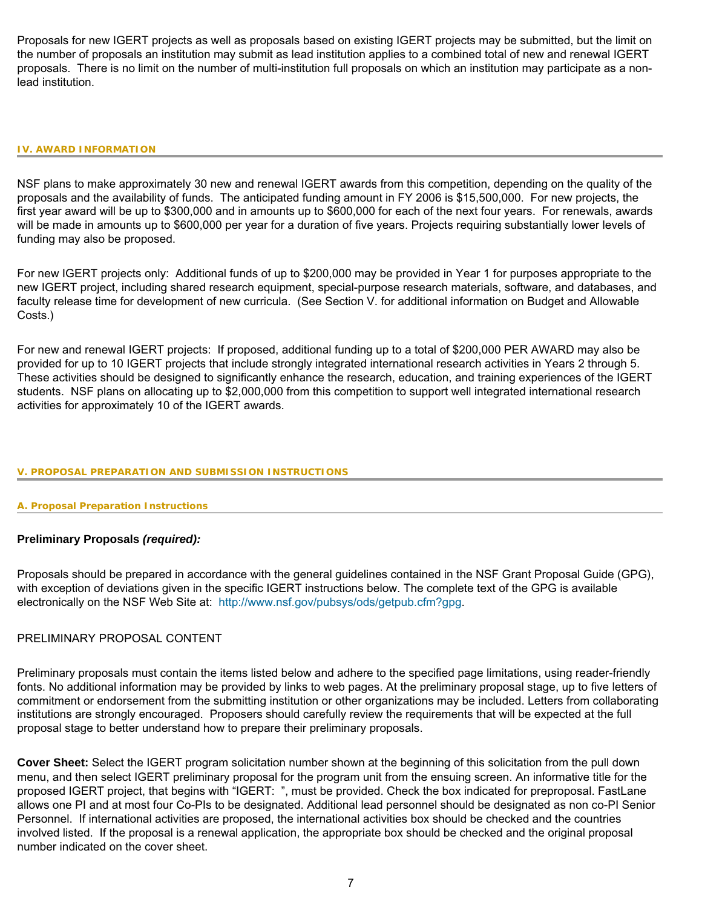Proposals for new IGERT projects as well as proposals based on existing IGERT projects may be submitted, but the limit on the number of proposals an institution may submit as lead institution applies to a combined total of new and renewal IGERT proposals. There is no limit on the number of multi-institution full proposals on which an institution may participate as a nonlead institution.

#### <span id="page-6-0"></span>**IV. AWARD INFORMATION**

NSF plans to make approximately 30 new and renewal IGERT awards from this competition, depending on the quality of the proposals and the availability of funds. The anticipated funding amount in FY 2006 is \$15,500,000. For new projects, the first year award will be up to \$300,000 and in amounts up to \$600,000 for each of the next four years. For renewals, awards will be made in amounts up to \$600,000 per year for a duration of five years. Projects requiring substantially lower levels of funding may also be proposed.

For new IGERT projects only: Additional funds of up to \$200,000 may be provided in Year 1 for purposes appropriate to the new IGERT project, including shared research equipment, special-purpose research materials, software, and databases, and faculty release time for development of new curricula. (See Section V. for additional information on Budget and Allowable Costs.)

For new and renewal IGERT projects: If proposed, additional funding up to a total of \$200,000 PER AWARD may also be provided for up to 10 IGERT projects that include strongly integrated international research activities in Years 2 through 5. These activities should be designed to significantly enhance the research, education, and training experiences of the IGERT students. NSF plans on allocating up to \$2,000,000 from this competition to support well integrated international research activities for approximately 10 of the IGERT awards.

#### <span id="page-6-1"></span>**V. PROPOSAL PREPARATION AND SUBMISSION INSTRUCTIONS**

#### **A. Proposal Preparation Instructions**

### **Preliminary Proposals** *(required):*

Proposals should be prepared in accordance with the general guidelines contained in the NSF Grant Proposal Guide (GPG), with exception of deviations given in the specific IGERT instructions below. The complete text of the GPG is available electronically on the NSF Web Site at: [http://www.nsf.gov/pubsys/ods/getpub.cfm?gpg.](http://www.nsf.gov/pubsys/ods/getpub.cfm?gpg)

#### PRELIMINARY PROPOSAL CONTENT

Preliminary proposals must contain the items listed below and adhere to the specified page limitations, using reader-friendly fonts. No additional information may be provided by links to web pages. At the preliminary proposal stage, up to five letters of commitment or endorsement from the submitting institution or other organizations may be included. Letters from collaborating institutions are strongly encouraged. Proposers should carefully review the requirements that will be expected at the full proposal stage to better understand how to prepare their preliminary proposals.

**Cover Sheet:** Select the IGERT program solicitation number shown at the beginning of this solicitation from the pull down menu, and then select IGERT preliminary proposal for the program unit from the ensuing screen. An informative title for the proposed IGERT project, that begins with "IGERT: ", must be provided. Check the box indicated for preproposal. FastLane allows one PI and at most four Co-PIs to be designated. Additional lead personnel should be designated as non co-PI Senior Personnel. If international activities are proposed, the international activities box should be checked and the countries involved listed. If the proposal is a renewal application, the appropriate box should be checked and the original proposal number indicated on the cover sheet.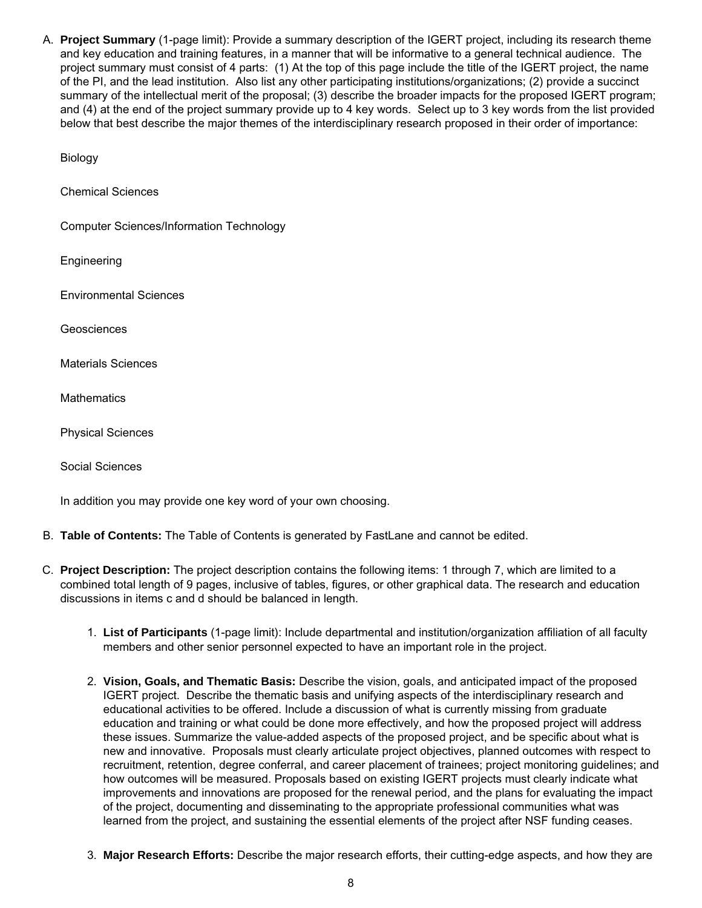A. **Project Summary** (1-page limit): Provide a summary description of the IGERT project, including its research theme and key education and training features, in a manner that will be informative to a general technical audience. The project summary must consist of 4 parts: (1) At the top of this page include the title of the IGERT project, the name of the PI, and the lead institution. Also list any other participating institutions/organizations; (2) provide a succinct summary of the intellectual merit of the proposal; (3) describe the broader impacts for the proposed IGERT program; and (4) at the end of the project summary provide up to 4 key words. Select up to 3 key words from the list provided below that best describe the major themes of the interdisciplinary research proposed in their order of importance:

Biology

Chemical Sciences

Computer Sciences/Information Technology

**Engineering** 

Environmental Sciences

Geosciences

Materials Sciences

**Mathematics** 

Physical Sciences

Social Sciences

In addition you may provide one key word of your own choosing.

- B. **Table of Contents:** The Table of Contents is generated by FastLane and cannot be edited.
- C. **Project Description:** The project description contains the following items: 1 through 7, which are limited to a combined total length of 9 pages, inclusive of tables, figures, or other graphical data. The research and education discussions in items c and d should be balanced in length.
	- 1. **List of Participants** (1-page limit): Include departmental and institution/organization affiliation of all faculty members and other senior personnel expected to have an important role in the project.
	- 2. **Vision, Goals, and Thematic Basis:** Describe the vision, goals, and anticipated impact of the proposed IGERT project. Describe the thematic basis and unifying aspects of the interdisciplinary research and educational activities to be offered. Include a discussion of what is currently missing from graduate education and training or what could be done more effectively, and how the proposed project will address these issues. Summarize the value-added aspects of the proposed project, and be specific about what is new and innovative. Proposals must clearly articulate project objectives, planned outcomes with respect to recruitment, retention, degree conferral, and career placement of trainees; project monitoring guidelines; and how outcomes will be measured. Proposals based on existing IGERT projects must clearly indicate what improvements and innovations are proposed for the renewal period, and the plans for evaluating the impact of the project, documenting and disseminating to the appropriate professional communities what was learned from the project, and sustaining the essential elements of the project after NSF funding ceases.
	- 3. **Major Research Efforts:** Describe the major research efforts, their cutting-edge aspects, and how they are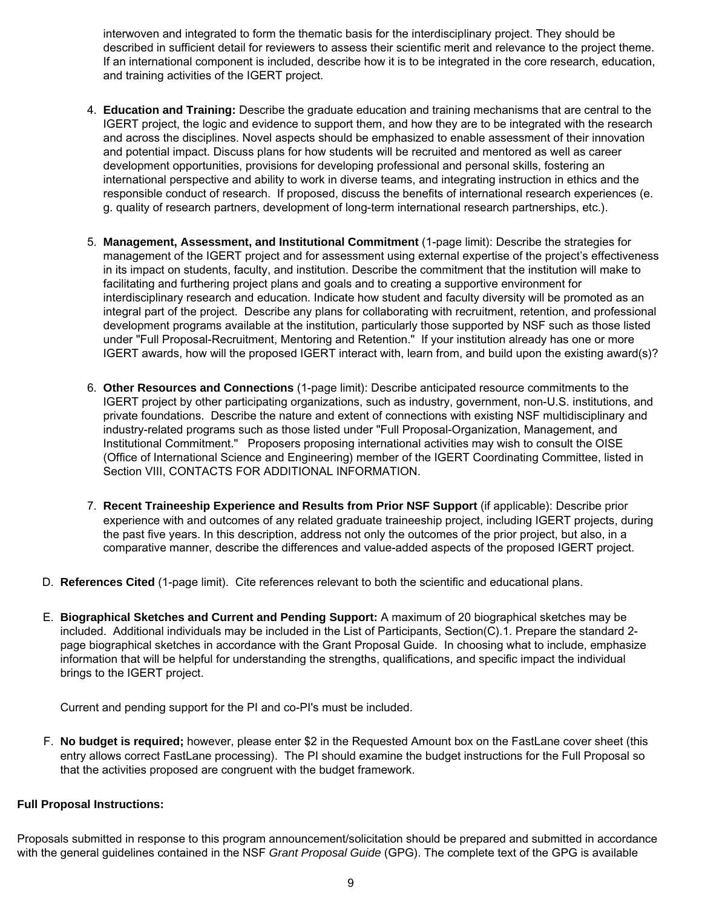interwoven and integrated to form the thematic basis for the interdisciplinary project. They should be described in sufficient detail for reviewers to assess their scientific merit and relevance to the project theme. If an international component is included, describe how it is to be integrated in the core research, education, and training activities of the IGERT project.

- 4. **Education and Training:** Describe the graduate education and training mechanisms that are central to the IGERT project, the logic and evidence to support them, and how they are to be integrated with the research and across the disciplines. Novel aspects should be emphasized to enable assessment of their innovation and potential impact. Discuss plans for how students will be recruited and mentored as well as career development opportunities, provisions for developing professional and personal skills, fostering an international perspective and ability to work in diverse teams, and integrating instruction in ethics and the responsible conduct of research. If proposed, discuss the benefits of international research experiences (e. g. quality of research partners, development of long-term international research partnerships, etc.).
- 5. **Management, Assessment, and Institutional Commitment** (1-page limit): Describe the strategies for management of the IGERT project and for assessment using external expertise of the project's effectiveness in its impact on students, faculty, and institution. Describe the commitment that the institution will make to facilitating and furthering project plans and goals and to creating a supportive environment for interdisciplinary research and education. Indicate how student and faculty diversity will be promoted as an integral part of the project. Describe any plans for collaborating with recruitment, retention, and professional development programs available at the institution, particularly those supported by NSF such as those listed under "Full Proposal-Recruitment, Mentoring and Retention." If your institution already has one or more IGERT awards, how will the proposed IGERT interact with, learn from, and build upon the existing award(s)?
- 6. **Other Resources and Connections** (1-page limit): Describe anticipated resource commitments to the IGERT project by other participating organizations, such as industry, government, non-U.S. institutions, and private foundations. Describe the nature and extent of connections with existing NSF multidisciplinary and industry-related programs such as those listed under "Full Proposal-Organization, Management, and Institutional Commitment." Proposers proposing international activities may wish to consult the OISE (Office of International Science and Engineering) member of the IGERT Coordinating Committee, listed in Section VIII, CONTACTS FOR ADDITIONAL INFORMATION.
- 7. **Recent Traineeship Experience and Results from Prior NSF Support** (if applicable): Describe prior experience with and outcomes of any related graduate traineeship project, including IGERT projects, during the past five years. In this description, address not only the outcomes of the prior project, but also, in a comparative manner, describe the differences and value-added aspects of the proposed IGERT project.
- D. **References Cited** (1-page limit). Cite references relevant to both the scientific and educational plans.
- E. **Biographical Sketches and Current and Pending Support:** A maximum of 20 biographical sketches may be included. Additional individuals may be included in the List of Participants, Section(C).1. Prepare the standard 2 page biographical sketches in accordance with the Grant Proposal Guide. In choosing what to include, emphasize information that will be helpful for understanding the strengths, qualifications, and specific impact the individual brings to the IGERT project.

Current and pending support for the PI and co-PI's must be included.

F. **No budget is required;** however, please enter \$2 in the Requested Amount box on the FastLane cover sheet (this entry allows correct FastLane processing). The PI should examine the budget instructions for the Full Proposal so that the activities proposed are congruent with the budget framework.

## **Full Proposal Instructions:**

Proposals submitted in response to this program announcement/solicitation should be prepared and submitted in accordance with the general guidelines contained in the NSF *Grant Proposal Guide* (GPG). The complete text of the GPG is available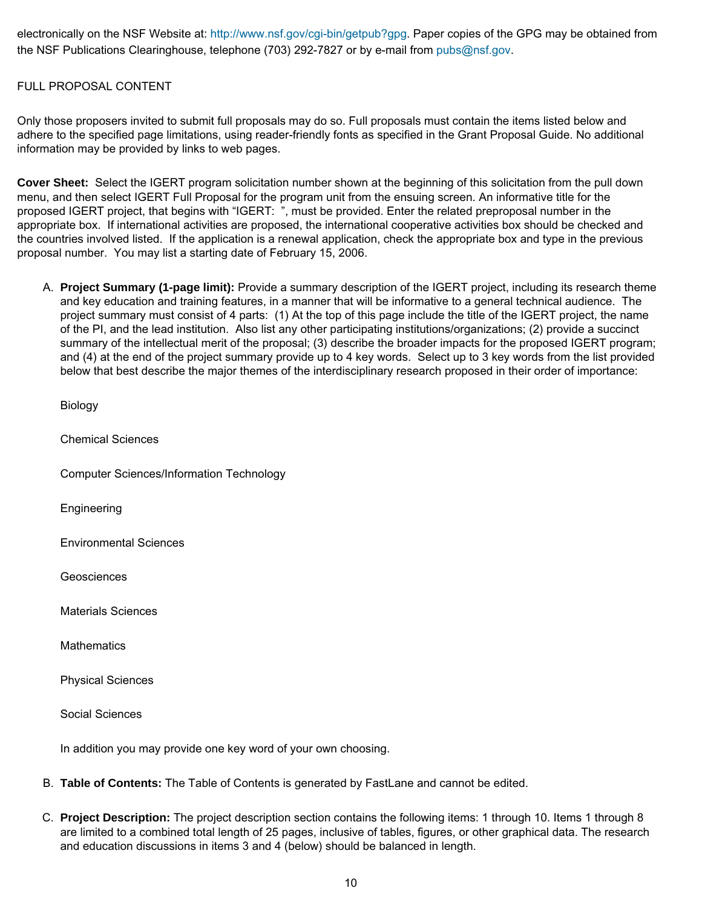electronically on the NSF Website at: [http://www.nsf.gov/cgi-bin/getpub?gpg.](http://www.nsf.gov/cgi-bin/getpub?gpg) Paper copies of the GPG may be obtained from the NSF Publications Clearinghouse, telephone (703) 292-7827 or by e-mail from [pubs@nsf.gov.](mailto:pubs@nsf.gov)

## FULL PROPOSAL CONTENT

Only those proposers invited to submit full proposals may do so. Full proposals must contain the items listed below and adhere to the specified page limitations, using reader-friendly fonts as specified in the Grant Proposal Guide. No additional information may be provided by links to web pages.

**Cover Sheet:** Select the IGERT program solicitation number shown at the beginning of this solicitation from the pull down menu, and then select IGERT Full Proposal for the program unit from the ensuing screen. An informative title for the proposed IGERT project, that begins with "IGERT: ", must be provided. Enter the related preproposal number in the appropriate box. If international activities are proposed, the international cooperative activities box should be checked and the countries involved listed. If the application is a renewal application, check the appropriate box and type in the previous proposal number. You may list a starting date of February 15, 2006.

A. **Project Summary (1-page limit):** Provide a summary description of the IGERT project, including its research theme and key education and training features, in a manner that will be informative to a general technical audience. The project summary must consist of 4 parts: (1) At the top of this page include the title of the IGERT project, the name of the PI, and the lead institution. Also list any other participating institutions/organizations; (2) provide a succinct summary of the intellectual merit of the proposal; (3) describe the broader impacts for the proposed IGERT program; and (4) at the end of the project summary provide up to 4 key words. Select up to 3 key words from the list provided below that best describe the major themes of the interdisciplinary research proposed in their order of importance:

Biology

Chemical Sciences

Computer Sciences/Information Technology

Engineering

Environmental Sciences

**Geosciences** 

Materials Sciences

**Mathematics** 

Physical Sciences

Social Sciences

In addition you may provide one key word of your own choosing.

- B. **Table of Contents:** The Table of Contents is generated by FastLane and cannot be edited.
- C. **Project Description:** The project description section contains the following items: 1 through 10. Items 1 through 8 are limited to a combined total length of 25 pages, inclusive of tables, figures, or other graphical data. The research and education discussions in items 3 and 4 (below) should be balanced in length.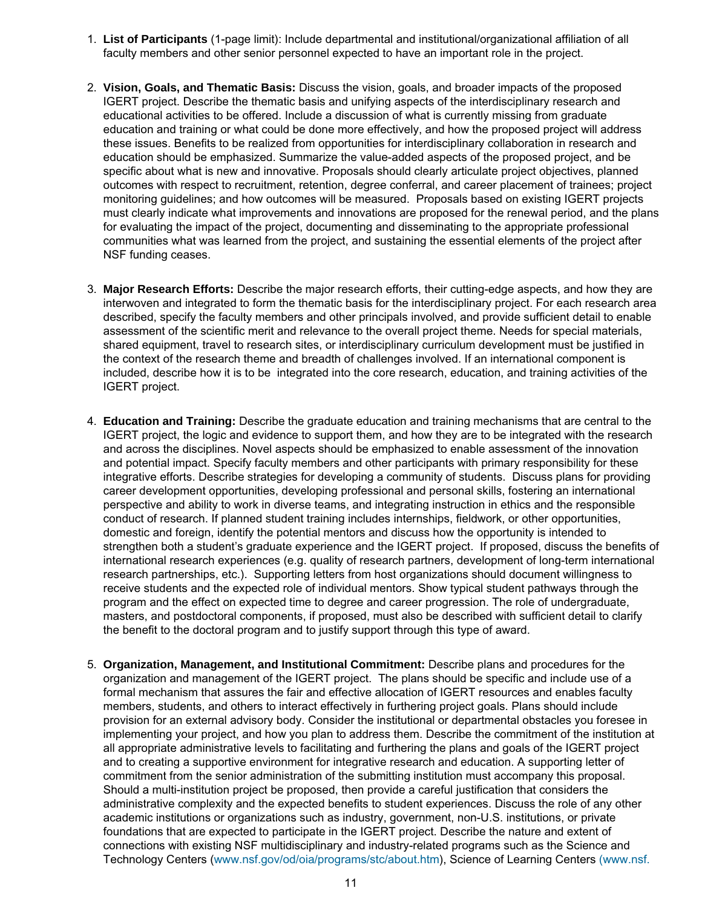- 1. **List of Participants** (1-page limit): Include departmental and institutional/organizational affiliation of all faculty members and other senior personnel expected to have an important role in the project.
- 2. **Vision, Goals, and Thematic Basis:** Discuss the vision, goals, and broader impacts of the proposed IGERT project. Describe the thematic basis and unifying aspects of the interdisciplinary research and educational activities to be offered. Include a discussion of what is currently missing from graduate education and training or what could be done more effectively, and how the proposed project will address these issues. Benefits to be realized from opportunities for interdisciplinary collaboration in research and education should be emphasized. Summarize the value-added aspects of the proposed project, and be specific about what is new and innovative. Proposals should clearly articulate project objectives, planned outcomes with respect to recruitment, retention, degree conferral, and career placement of trainees; project monitoring guidelines; and how outcomes will be measured. Proposals based on existing IGERT projects must clearly indicate what improvements and innovations are proposed for the renewal period, and the plans for evaluating the impact of the project, documenting and disseminating to the appropriate professional communities what was learned from the project, and sustaining the essential elements of the project after NSF funding ceases.
- 3. **Major Research Efforts:** Describe the major research efforts, their cutting-edge aspects, and how they are interwoven and integrated to form the thematic basis for the interdisciplinary project. For each research area described, specify the faculty members and other principals involved, and provide sufficient detail to enable assessment of the scientific merit and relevance to the overall project theme. Needs for special materials, shared equipment, travel to research sites, or interdisciplinary curriculum development must be justified in the context of the research theme and breadth of challenges involved. If an international component is included, describe how it is to be integrated into the core research, education, and training activities of the IGERT project.
- 4. **Education and Training:** Describe the graduate education and training mechanisms that are central to the IGERT project, the logic and evidence to support them, and how they are to be integrated with the research and across the disciplines. Novel aspects should be emphasized to enable assessment of the innovation and potential impact. Specify faculty members and other participants with primary responsibility for these integrative efforts. Describe strategies for developing a community of students. Discuss plans for providing career development opportunities, developing professional and personal skills, fostering an international perspective and ability to work in diverse teams, and integrating instruction in ethics and the responsible conduct of research. If planned student training includes internships, fieldwork, or other opportunities, domestic and foreign, identify the potential mentors and discuss how the opportunity is intended to strengthen both a student's graduate experience and the IGERT project. If proposed, discuss the benefits of international research experiences (e.g. quality of research partners, development of long-term international research partnerships, etc.). Supporting letters from host organizations should document willingness to receive students and the expected role of individual mentors. Show typical student pathways through the program and the effect on expected time to degree and career progression. The role of undergraduate, masters, and postdoctoral components, if proposed, must also be described with sufficient detail to clarify the benefit to the doctoral program and to justify support through this type of award.
- 5. **Organization, Management, and Institutional Commitment:** Describe plans and procedures for the organization and management of the IGERT project. The plans should be specific and include use of a formal mechanism that assures the fair and effective allocation of IGERT resources and enables faculty members, students, and others to interact effectively in furthering project goals. Plans should include provision for an external advisory body. Consider the institutional or departmental obstacles you foresee in implementing your project, and how you plan to address them. Describe the commitment of the institution at all appropriate administrative levels to facilitating and furthering the plans and goals of the IGERT project and to creating a supportive environment for integrative research and education. A supporting letter of commitment from the senior administration of the submitting institution must accompany this proposal. Should a multi-institution project be proposed, then provide a careful justification that considers the administrative complexity and the expected benefits to student experiences. Discuss the role of any other academic institutions or organizations such as industry, government, non-U.S. institutions, or private foundations that are expected to participate in the IGERT project. Describe the nature and extent of connections with existing NSF multidisciplinary and industry-related programs such as the Science and Technology Centers ([www.nsf.gov/od/oia/programs/stc/about.htm](http://www.nsf.gov/od/oia/programs/stc/about.htm)), Science of Learning Centers [\(www.nsf.](http://www.nsf.gov/home/crssprgm/slc)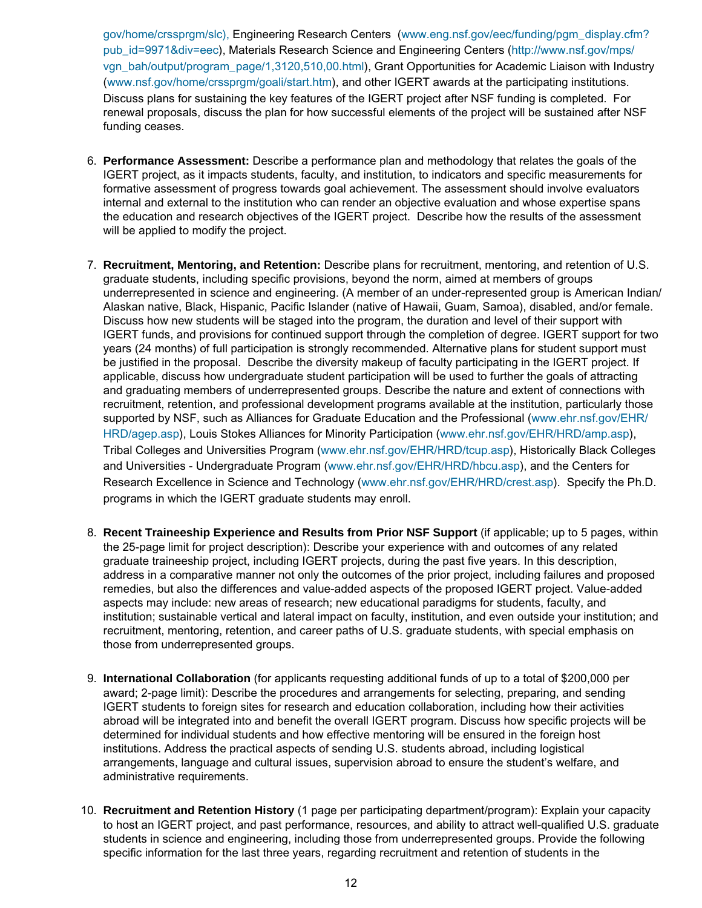[gov/home/crssprgm/slc\),](http://www.nsf.gov/home/crssprgm/slc) Engineering Research Centers [\(www.eng.nsf.gov/eec/funding/pgm\\_display.cfm?](http://www.eng.nsf.gov/eec/funding/pgm_display.cfm?pub_id=9971&div=eec) [pub\\_id=9971&div=eec\)](http://www.eng.nsf.gov/eec/funding/pgm_display.cfm?pub_id=9971&div=eec), Materials Research Science and Engineering Centers [\(http://www.nsf.gov/mps/](http://www.nsf.gov/mps/vgn_bah/output/program_page/1,3120,510,00.html) [vgn\\_bah/output/program\\_page/1,3120,510,00.html\)](http://www.nsf.gov/mps/vgn_bah/output/program_page/1,3120,510,00.html), Grant Opportunities for Academic Liaison with Industry [\(www.nsf.gov/home/crssprgm/goali/start.htm\)](http://www.nsf.gov/home/crssprgm/goali/start.htm), and other IGERT awards at the participating institutions. Discuss plans for sustaining the key features of the IGERT project after NSF funding is completed. For renewal proposals, discuss the plan for how successful elements of the project will be sustained after NSF funding ceases.

- 6. **Performance Assessment:** Describe a performance plan and methodology that relates the goals of the IGERT project, as it impacts students, faculty, and institution, to indicators and specific measurements for formative assessment of progress towards goal achievement. The assessment should involve evaluators internal and external to the institution who can render an objective evaluation and whose expertise spans the education and research objectives of the IGERT project. Describe how the results of the assessment will be applied to modify the project.
- 7. **Recruitment, Mentoring, and Retention:** Describe plans for recruitment, mentoring, and retention of U.S. graduate students, including specific provisions, beyond the norm, aimed at members of groups underrepresented in science and engineering. (A member of an under-represented group is American Indian/ Alaskan native, Black, Hispanic, Pacific Islander (native of Hawaii, Guam, Samoa), disabled, and/or female. Discuss how new students will be staged into the program, the duration and level of their support with IGERT funds, and provisions for continued support through the completion of degree. IGERT support for two years (24 months) of full participation is strongly recommended. Alternative plans for student support must be justified in the proposal. Describe the diversity makeup of faculty participating in the IGERT project. If applicable, discuss how undergraduate student participation will be used to further the goals of attracting and graduating members of underrepresented groups. Describe the nature and extent of connections with recruitment, retention, and professional development programs available at the institution, particularly those supported by NSF, such as Alliances for Graduate Education and the Professional ([www.ehr.nsf.gov/EHR/](http://www.ehr.nsf.gov/EHR/HRD/agep.asp) [HRD/agep.asp](http://www.ehr.nsf.gov/EHR/HRD/agep.asp)), Louis Stokes Alliances for Minority Participation ([www.ehr.nsf.gov/EHR/HRD/amp.asp](http://www.ehr.nsf.gov/EHR/HRD/amp.asp)), Tribal Colleges and Universities Program ([www.ehr.nsf.gov/EHR/HRD/tcup.asp\)](http://www.ehr.nsf.gov/EHR/HRD/tcup.asp), Historically Black Colleges and Universities - Undergraduate Program [\(www.ehr.nsf.gov/EHR/HRD/hbcu.asp\)](http://www.ehr.nsf.gov/EHR/HRD/hbcu.asp), and the Centers for Research Excellence in Science and Technology [\(www.ehr.nsf.gov/EHR/HRD/crest.asp\)](http://www.ehr.nsf.gov/EHR/HRD/crest.asp). Specify the Ph.D. programs in which the IGERT graduate students may enroll.
- 8. **Recent Traineeship Experience and Results from Prior NSF Support** (if applicable; up to 5 pages, within the 25-page limit for project description): Describe your experience with and outcomes of any related graduate traineeship project, including IGERT projects, during the past five years. In this description, address in a comparative manner not only the outcomes of the prior project, including failures and proposed remedies, but also the differences and value-added aspects of the proposed IGERT project. Value-added aspects may include: new areas of research; new educational paradigms for students, faculty, and institution; sustainable vertical and lateral impact on faculty, institution, and even outside your institution; and recruitment, mentoring, retention, and career paths of U.S. graduate students, with special emphasis on those from underrepresented groups.
- 9. **International Collaboration** (for applicants requesting additional funds of up to a total of \$200,000 per award; 2-page limit): Describe the procedures and arrangements for selecting, preparing, and sending IGERT students to foreign sites for research and education collaboration, including how their activities abroad will be integrated into and benefit the overall IGERT program. Discuss how specific projects will be determined for individual students and how effective mentoring will be ensured in the foreign host institutions. Address the practical aspects of sending U.S. students abroad, including logistical arrangements, language and cultural issues, supervision abroad to ensure the student's welfare, and administrative requirements.
- 10. **Recruitment and Retention History** (1 page per participating department/program): Explain your capacity to host an IGERT project, and past performance, resources, and ability to attract well-qualified U.S. graduate students in science and engineering, including those from underrepresented groups. Provide the following specific information for the last three years, regarding recruitment and retention of students in the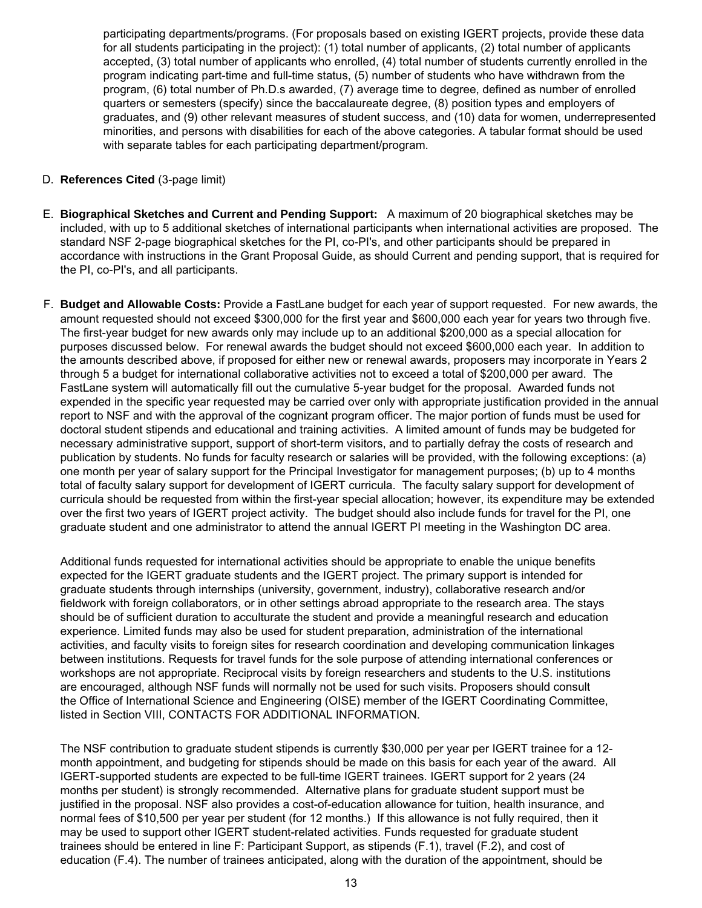participating departments/programs. (For proposals based on existing IGERT projects, provide these data for all students participating in the project): (1) total number of applicants, (2) total number of applicants accepted, (3) total number of applicants who enrolled, (4) total number of students currently enrolled in the program indicating part-time and full-time status, (5) number of students who have withdrawn from the program, (6) total number of Ph.D.s awarded, (7) average time to degree, defined as number of enrolled quarters or semesters (specify) since the baccalaureate degree, (8) position types and employers of graduates, and (9) other relevant measures of student success, and (10) data for women, underrepresented minorities, and persons with disabilities for each of the above categories. A tabular format should be used with separate tables for each participating department/program.

## D. **References Cited** (3-page limit)

- E. **Biographical Sketches and Current and Pending Support:** A maximum of 20 biographical sketches may be included, with up to 5 additional sketches of international participants when international activities are proposed. The standard NSF 2-page biographical sketches for the PI, co-PI's, and other participants should be prepared in accordance with instructions in the Grant Proposal Guide, as should Current and pending support, that is required for the PI, co-PI's, and all participants.
- F. **Budget and Allowable Costs:** Provide a FastLane budget for each year of support requested. For new awards, the amount requested should not exceed \$300,000 for the first year and \$600,000 each year for years two through five. The first-year budget for new awards only may include up to an additional \$200,000 as a special allocation for purposes discussed below. For renewal awards the budget should not exceed \$600,000 each year. In addition to the amounts described above, if proposed for either new or renewal awards, proposers may incorporate in Years 2 through 5 a budget for international collaborative activities not to exceed a total of \$200,000 per award. The FastLane system will automatically fill out the cumulative 5-year budget for the proposal. Awarded funds not expended in the specific year requested may be carried over only with appropriate justification provided in the annual report to NSF and with the approval of the cognizant program officer. The major portion of funds must be used for doctoral student stipends and educational and training activities. A limited amount of funds may be budgeted for necessary administrative support, support of short-term visitors, and to partially defray the costs of research and publication by students. No funds for faculty research or salaries will be provided, with the following exceptions: (a) one month per year of salary support for the Principal Investigator for management purposes; (b) up to 4 months total of faculty salary support for development of IGERT curricula. The faculty salary support for development of curricula should be requested from within the first-year special allocation; however, its expenditure may be extended over the first two years of IGERT project activity. The budget should also include funds for travel for the PI, one graduate student and one administrator to attend the annual IGERT PI meeting in the Washington DC area.

Additional funds requested for international activities should be appropriate to enable the unique benefits expected for the IGERT graduate students and the IGERT project. The primary support is intended for graduate students through internships (university, government, industry), collaborative research and/or fieldwork with foreign collaborators, or in other settings abroad appropriate to the research area. The stays should be of sufficient duration to acculturate the student and provide a meaningful research and education experience. Limited funds may also be used for student preparation, administration of the international activities, and faculty visits to foreign sites for research coordination and developing communication linkages between institutions. Requests for travel funds for the sole purpose of attending international conferences or workshops are not appropriate. Reciprocal visits by foreign researchers and students to the U.S. institutions are encouraged, although NSF funds will normally not be used for such visits. Proposers should consult the Office of International Science and Engineering (OISE) member of the IGERT Coordinating Committee, listed in Section VIII, CONTACTS FOR ADDITIONAL INFORMATION.

The NSF contribution to graduate student stipends is currently \$30,000 per year per IGERT trainee for a 12 month appointment, and budgeting for stipends should be made on this basis for each year of the award. All IGERT-supported students are expected to be full-time IGERT trainees. IGERT support for 2 years (24 months per student) is strongly recommended. Alternative plans for graduate student support must be justified in the proposal. NSF also provides a cost-of-education allowance for tuition, health insurance, and normal fees of \$10,500 per year per student (for 12 months.) If this allowance is not fully required, then it may be used to support other IGERT student-related activities. Funds requested for graduate student trainees should be entered in line F: Participant Support, as stipends (F.1), travel (F.2), and cost of education (F.4). The number of trainees anticipated, along with the duration of the appointment, should be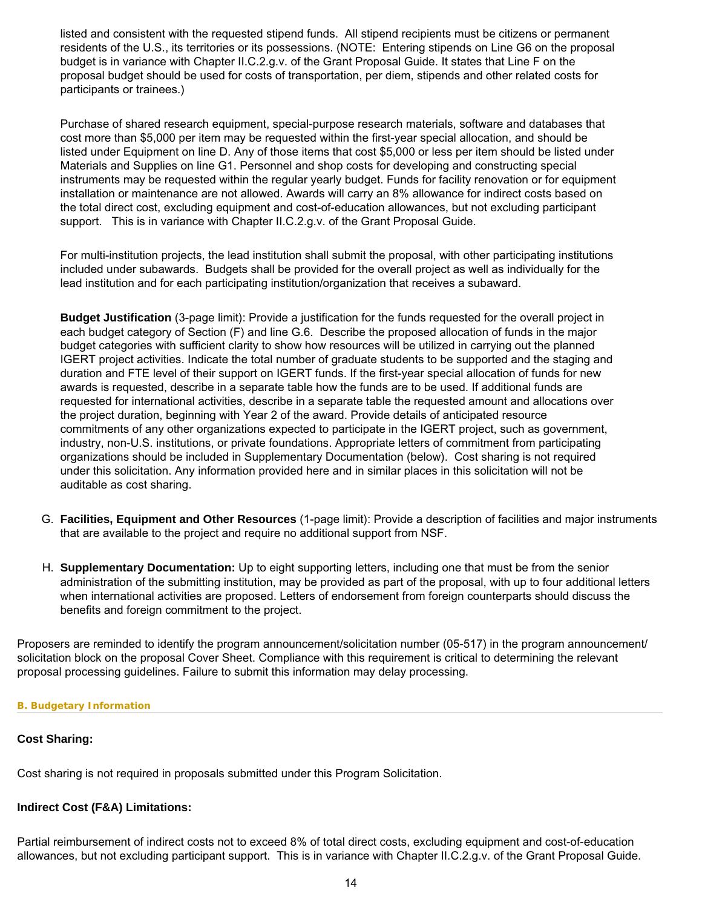listed and consistent with the requested stipend funds. All stipend recipients must be citizens or permanent residents of the U.S., its territories or its possessions. (NOTE: Entering stipends on Line G6 on the proposal budget is in variance with Chapter II.C.2.g.v. of the Grant Proposal Guide. It states that Line F on the proposal budget should be used for costs of transportation, per diem, stipends and other related costs for participants or trainees.)

Purchase of shared research equipment, special-purpose research materials, software and databases that cost more than \$5,000 per item may be requested within the first-year special allocation, and should be listed under Equipment on line D. Any of those items that cost \$5,000 or less per item should be listed under Materials and Supplies on line G1. Personnel and shop costs for developing and constructing special instruments may be requested within the regular yearly budget. Funds for facility renovation or for equipment installation or maintenance are not allowed. Awards will carry an 8% allowance for indirect costs based on the total direct cost, excluding equipment and cost-of-education allowances, but not excluding participant support. This is in variance with Chapter II.C.2.g.v. of the Grant Proposal Guide.

For multi-institution projects, the lead institution shall submit the proposal, with other participating institutions included under subawards. Budgets shall be provided for the overall project as well as individually for the lead institution and for each participating institution/organization that receives a subaward.

**Budget Justification** (3-page limit): Provide a justification for the funds requested for the overall project in each budget category of Section (F) and line G.6. Describe the proposed allocation of funds in the major budget categories with sufficient clarity to show how resources will be utilized in carrying out the planned IGERT project activities. Indicate the total number of graduate students to be supported and the staging and duration and FTE level of their support on IGERT funds. If the first-year special allocation of funds for new awards is requested, describe in a separate table how the funds are to be used. If additional funds are requested for international activities, describe in a separate table the requested amount and allocations over the project duration, beginning with Year 2 of the award. Provide details of anticipated resource commitments of any other organizations expected to participate in the IGERT project, such as government, industry, non-U.S. institutions, or private foundations. Appropriate letters of commitment from participating organizations should be included in Supplementary Documentation (below). Cost sharing is not required under this solicitation. Any information provided here and in similar places in this solicitation will not be auditable as cost sharing.

- G. **Facilities, Equipment and Other Resources** (1-page limit): Provide a description of facilities and major instruments that are available to the project and require no additional support from NSF.
- H. **Supplementary Documentation:** Up to eight supporting letters, including one that must be from the senior administration of the submitting institution, may be provided as part of the proposal, with up to four additional letters when international activities are proposed. Letters of endorsement from foreign counterparts should discuss the benefits and foreign commitment to the project.

Proposers are reminded to identify the program announcement/solicitation number (05-517) in the program announcement/ solicitation block on the proposal Cover Sheet. Compliance with this requirement is critical to determining the relevant proposal processing guidelines. Failure to submit this information may delay processing.

### <span id="page-13-0"></span>**B. Budgetary Information**

### **Cost Sharing:**

Cost sharing is not required in proposals submitted under this Program Solicitation.

#### **Indirect Cost (F&A) Limitations:**

Partial reimbursement of indirect costs not to exceed 8% of total direct costs, excluding equipment and cost-of-education allowances, but not excluding participant support. This is in variance with Chapter II.C.2.g.v. of the Grant Proposal Guide.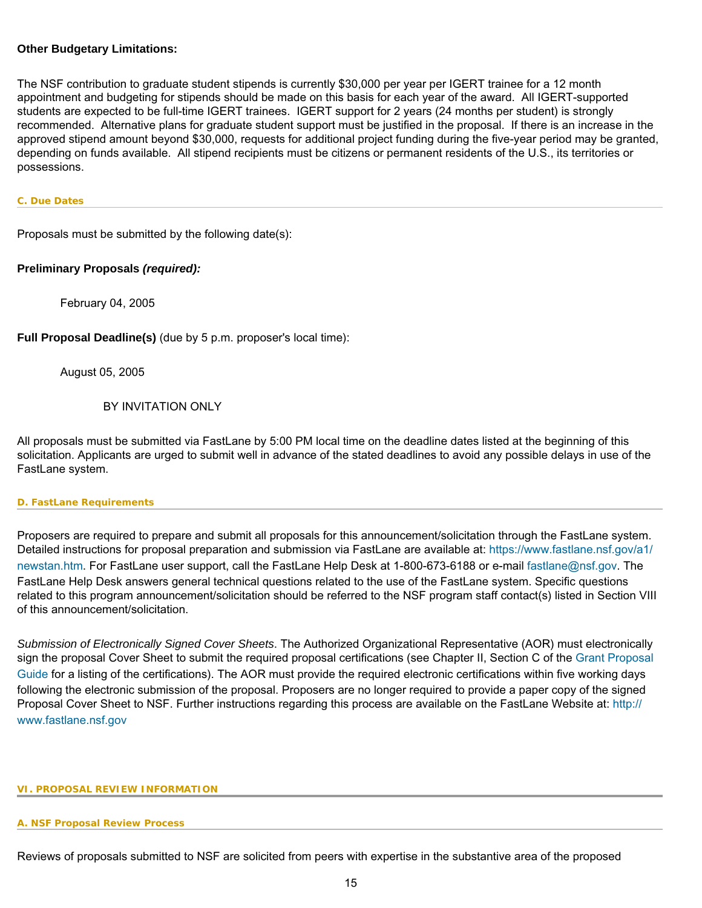## **Other Budgetary Limitations:**

The NSF contribution to graduate student stipends is currently \$30,000 per year per IGERT trainee for a 12 month appointment and budgeting for stipends should be made on this basis for each year of the award. All IGERT-supported students are expected to be full-time IGERT trainees. IGERT support for 2 years (24 months per student) is strongly recommended. Alternative plans for graduate student support must be justified in the proposal. If there is an increase in the approved stipend amount beyond \$30,000, requests for additional project funding during the five-year period may be granted, depending on funds available. All stipend recipients must be citizens or permanent residents of the U.S., its territories or possessions.

#### <span id="page-14-0"></span>**C. Due Dates**

Proposals must be submitted by the following date(s):

## **Preliminary Proposals** *(required):*

February 04, 2005

**Full Proposal Deadline(s)** (due by 5 p.m. proposer's local time):

August 05, 2005

## BY INVITATION ONLY

All proposals must be submitted via FastLane by 5:00 PM local time on the deadline dates listed at the beginning of this solicitation. Applicants are urged to submit well in advance of the stated deadlines to avoid any possible delays in use of the FastLane system.

#### <span id="page-14-1"></span>**D. FastLane Requirements**

Proposers are required to prepare and submit all proposals for this announcement/solicitation through the FastLane system. Detailed instructions for proposal preparation and submission via FastLane are available at: [https://www.fastlane.nsf.gov/a1/](https://www.fastlane.nsf.gov/a1/newstan.htm) [newstan.htm](https://www.fastlane.nsf.gov/a1/newstan.htm). For FastLane user support, call the FastLane Help Desk at 1-800-673-6188 or e-mail [fastlane@nsf.gov](mailto:fastlane@nsf.gov). The FastLane Help Desk answers general technical questions related to the use of the FastLane system. Specific questions related to this program announcement/solicitation should be referred to the NSF program staff contact(s) listed in Section VIII of this announcement/solicitation.

*Submission of Electronically Signed Cover Sheets*. The Authorized Organizational Representative (AOR) must electronically sign the proposal Cover Sheet to submit the required proposal certifications (see Chapter II, Section C of the [Grant Proposal](http://www.nsf.gov/pubsys/ods/getpub.cfm?gpg) [Guide](http://www.nsf.gov/pubsys/ods/getpub.cfm?gpg) for a listing of the certifications). The AOR must provide the required electronic certifications within five working days following the electronic submission of the proposal. Proposers are no longer required to provide a paper copy of the signed Proposal Cover Sheet to NSF. Further instructions regarding this process are available on the FastLane Website at: [http://](http://www.fastlane.nsf.gov/) [www.fastlane.nsf.gov](http://www.fastlane.nsf.gov/)

#### <span id="page-14-3"></span><span id="page-14-2"></span>**VI. PROPOSAL REVIEW INFORMATION**

#### **A. NSF Proposal Review Process**

Reviews of proposals submitted to NSF are solicited from peers with expertise in the substantive area of the proposed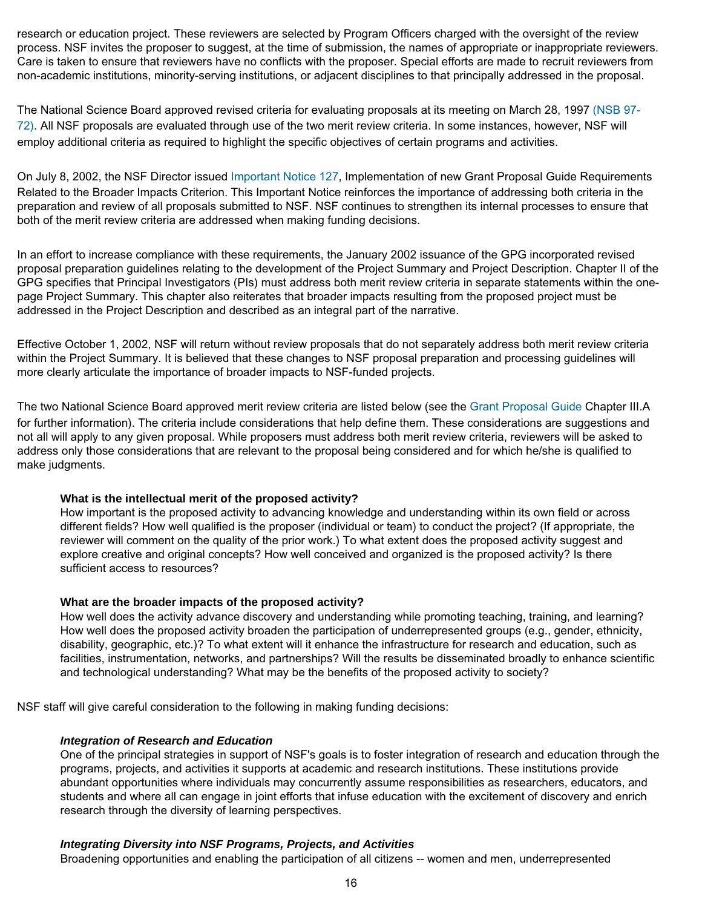research or education project. These reviewers are selected by Program Officers charged with the oversight of the review process. NSF invites the proposer to suggest, at the time of submission, the names of appropriate or inappropriate reviewers. Care is taken to ensure that reviewers have no conflicts with the proposer. Special efforts are made to recruit reviewers from non-academic institutions, minority-serving institutions, or adjacent disciplines to that principally addressed in the proposal.

The National Science Board approved revised criteria for evaluating proposals at its meeting on March 28, 1997 [\(NSB 97-](http://www.nsf.gov/pubsys/ods/getpub.cfm?nsb9772) [72\).](http://www.nsf.gov/pubsys/ods/getpub.cfm?nsb9772) All NSF proposals are evaluated through use of the two merit review criteria. In some instances, however, NSF will employ additional criteria as required to highlight the specific objectives of certain programs and activities.

On July 8, 2002, the NSF Director issued [Important Notice 127](http://www.nsf.gov/pubsys/ods/getpub.cfm?iin127), Implementation of new Grant Proposal Guide Requirements Related to the Broader Impacts Criterion. This Important Notice reinforces the importance of addressing both criteria in the preparation and review of all proposals submitted to NSF. NSF continues to strengthen its internal processes to ensure that both of the merit review criteria are addressed when making funding decisions.

In an effort to increase compliance with these requirements, the January 2002 issuance of the GPG incorporated revised proposal preparation guidelines relating to the development of the Project Summary and Project Description. Chapter II of the GPG specifies that Principal Investigators (PIs) must address both merit review criteria in separate statements within the onepage Project Summary. This chapter also reiterates that broader impacts resulting from the proposed project must be addressed in the Project Description and described as an integral part of the narrative.

Effective October 1, 2002, NSF will return without review proposals that do not separately address both merit review criteria within the Project Summary. It is believed that these changes to NSF proposal preparation and processing guidelines will more clearly articulate the importance of broader impacts to NSF-funded projects.

The two National Science Board approved merit review criteria are listed below (see the [Grant Proposal Guide](http://www.nsf.gov/pubsys/ods/getpub.cfm?gpg) Chapter III.A for further information). The criteria include considerations that help define them. These considerations are suggestions and not all will apply to any given proposal. While proposers must address both merit review criteria, reviewers will be asked to address only those considerations that are relevant to the proposal being considered and for which he/she is qualified to make judgments.

### **What is the intellectual merit of the proposed activity?**

How important is the proposed activity to advancing knowledge and understanding within its own field or across different fields? How well qualified is the proposer (individual or team) to conduct the project? (If appropriate, the reviewer will comment on the quality of the prior work.) To what extent does the proposed activity suggest and explore creative and original concepts? How well conceived and organized is the proposed activity? Is there sufficient access to resources?

### **What are the broader impacts of the proposed activity?**

How well does the activity advance discovery and understanding while promoting teaching, training, and learning? How well does the proposed activity broaden the participation of underrepresented groups (e.g., gender, ethnicity, disability, geographic, etc.)? To what extent will it enhance the infrastructure for research and education, such as facilities, instrumentation, networks, and partnerships? Will the results be disseminated broadly to enhance scientific and technological understanding? What may be the benefits of the proposed activity to society?

NSF staff will give careful consideration to the following in making funding decisions:

### *Integration of Research and Education*

One of the principal strategies in support of NSF's goals is to foster integration of research and education through the programs, projects, and activities it supports at academic and research institutions. These institutions provide abundant opportunities where individuals may concurrently assume responsibilities as researchers, educators, and students and where all can engage in joint efforts that infuse education with the excitement of discovery and enrich research through the diversity of learning perspectives.

## *Integrating Diversity into NSF Programs, Projects, and Activities*

Broadening opportunities and enabling the participation of all citizens -- women and men, underrepresented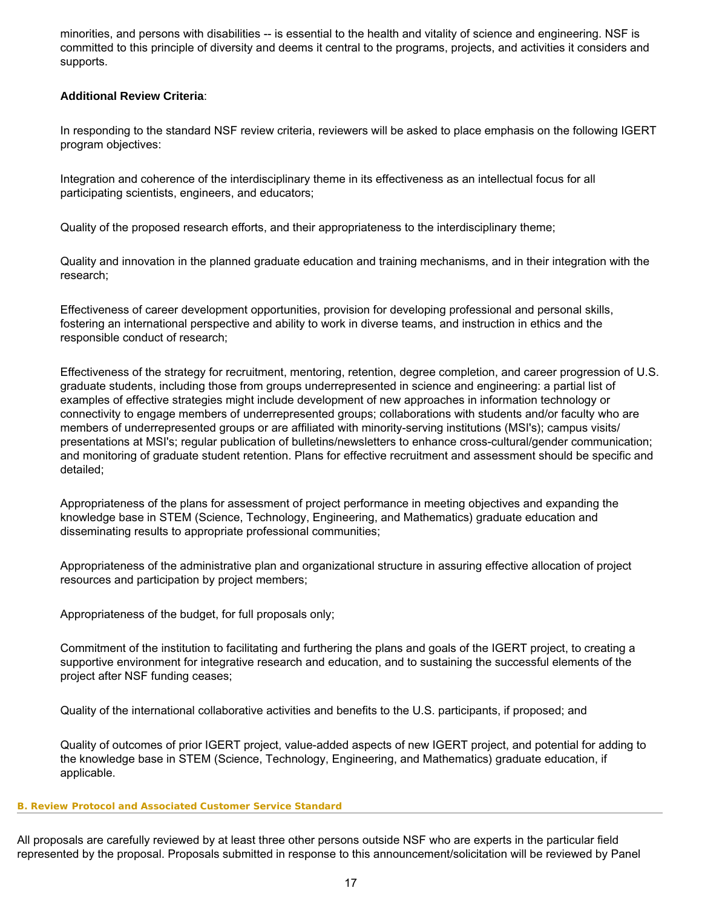minorities, and persons with disabilities -- is essential to the health and vitality of science and engineering. NSF is committed to this principle of diversity and deems it central to the programs, projects, and activities it considers and supports.

## **Additional Review Criteria**:

In responding to the standard NSF review criteria, reviewers will be asked to place emphasis on the following IGERT program objectives:

Integration and coherence of the interdisciplinary theme in its effectiveness as an intellectual focus for all participating scientists, engineers, and educators;

Quality of the proposed research efforts, and their appropriateness to the interdisciplinary theme;

Quality and innovation in the planned graduate education and training mechanisms, and in their integration with the research;

Effectiveness of career development opportunities, provision for developing professional and personal skills, fostering an international perspective and ability to work in diverse teams, and instruction in ethics and the responsible conduct of research;

Effectiveness of the strategy for recruitment, mentoring, retention, degree completion, and career progression of U.S. graduate students, including those from groups underrepresented in science and engineering: a partial list of examples of effective strategies might include development of new approaches in information technology or connectivity to engage members of underrepresented groups; collaborations with students and/or faculty who are members of underrepresented groups or are affiliated with minority-serving institutions (MSI's); campus visits/ presentations at MSI's; regular publication of bulletins/newsletters to enhance cross-cultural/gender communication; and monitoring of graduate student retention. Plans for effective recruitment and assessment should be specific and detailed;

Appropriateness of the plans for assessment of project performance in meeting objectives and expanding the knowledge base in STEM (Science, Technology, Engineering, and Mathematics) graduate education and disseminating results to appropriate professional communities;

Appropriateness of the administrative plan and organizational structure in assuring effective allocation of project resources and participation by project members;

Appropriateness of the budget, for full proposals only;

Commitment of the institution to facilitating and furthering the plans and goals of the IGERT project, to creating a supportive environment for integrative research and education, and to sustaining the successful elements of the project after NSF funding ceases;

Quality of the international collaborative activities and benefits to the U.S. participants, if proposed; and

Quality of outcomes of prior IGERT project, value-added aspects of new IGERT project, and potential for adding to the knowledge base in STEM (Science, Technology, Engineering, and Mathematics) graduate education, if applicable.

### <span id="page-16-0"></span>**B. Review Protocol and Associated Customer Service Standard**

All proposals are carefully reviewed by at least three other persons outside NSF who are experts in the particular field represented by the proposal. Proposals submitted in response to this announcement/solicitation will be reviewed by Panel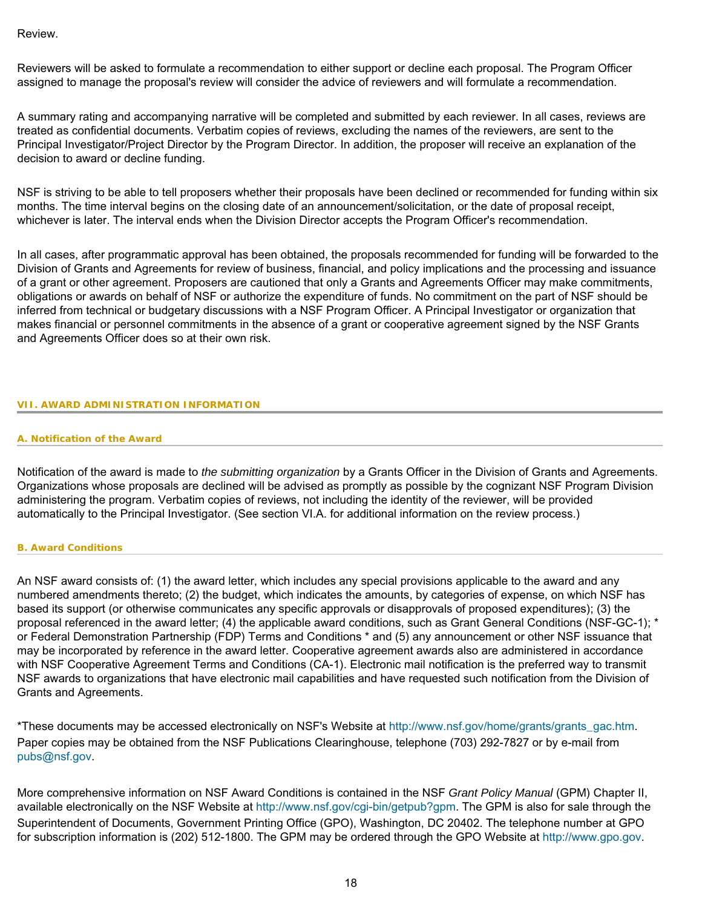Review.

Reviewers will be asked to formulate a recommendation to either support or decline each proposal. The Program Officer assigned to manage the proposal's review will consider the advice of reviewers and will formulate a recommendation.

A summary rating and accompanying narrative will be completed and submitted by each reviewer. In all cases, reviews are treated as confidential documents. Verbatim copies of reviews, excluding the names of the reviewers, are sent to the Principal Investigator/Project Director by the Program Director. In addition, the proposer will receive an explanation of the decision to award or decline funding.

NSF is striving to be able to tell proposers whether their proposals have been declined or recommended for funding within six months. The time interval begins on the closing date of an announcement/solicitation, or the date of proposal receipt, whichever is later. The interval ends when the Division Director accepts the Program Officer's recommendation.

In all cases, after programmatic approval has been obtained, the proposals recommended for funding will be forwarded to the Division of Grants and Agreements for review of business, financial, and policy implications and the processing and issuance of a grant or other agreement. Proposers are cautioned that only a Grants and Agreements Officer may make commitments, obligations or awards on behalf of NSF or authorize the expenditure of funds. No commitment on the part of NSF should be inferred from technical or budgetary discussions with a NSF Program Officer. A Principal Investigator or organization that makes financial or personnel commitments in the absence of a grant or cooperative agreement signed by the NSF Grants and Agreements Officer does so at their own risk.

### <span id="page-17-1"></span><span id="page-17-0"></span>**VII. AWARD ADMINISTRATION INFORMATION**

#### **A. Notification of the Award**

Notification of the award is made to *the submitting organization* by a Grants Officer in the Division of Grants and Agreements. Organizations whose proposals are declined will be advised as promptly as possible by the cognizant NSF Program Division administering the program. Verbatim copies of reviews, not including the identity of the reviewer, will be provided automatically to the Principal Investigator. (See section VI.A. for additional information on the review process.)

#### <span id="page-17-2"></span>**B. Award Conditions**

An NSF award consists of: (1) the award letter, which includes any special provisions applicable to the award and any numbered amendments thereto; (2) the budget, which indicates the amounts, by categories of expense, on which NSF has based its support (or otherwise communicates any specific approvals or disapprovals of proposed expenditures); (3) the proposal referenced in the award letter; (4) the applicable award conditions, such as Grant General Conditions (NSF-GC-1); \* or Federal Demonstration Partnership (FDP) Terms and Conditions \* and (5) any announcement or other NSF issuance that may be incorporated by reference in the award letter. Cooperative agreement awards also are administered in accordance with NSF Cooperative Agreement Terms and Conditions (CA-1). Electronic mail notification is the preferred way to transmit NSF awards to organizations that have electronic mail capabilities and have requested such notification from the Division of Grants and Agreements.

\*These documents may be accessed electronically on NSF's Website at [http://www.nsf.gov/home/grants/grants\\_gac.htm](http://www.nsf.gov/home/grants/grants_gac.htm). Paper copies may be obtained from the NSF Publications Clearinghouse, telephone (703) 292-7827 or by e-mail from [pubs@nsf.gov.](mailto:pubs@nsf.gov)

<span id="page-17-3"></span>More comprehensive information on NSF Award Conditions is contained in the NSF *Grant Policy Manual* (GPM) Chapter II, available electronically on the NSF Website at [http://www.nsf.gov/cgi-bin/getpub?gpm.](http://www.nsf.gov/cgi-bin/getpub?gpm) The GPM is also for sale through the Superintendent of Documents, Government Printing Office (GPO), Washington, DC 20402. The telephone number at GPO for subscription information is (202) 512-1800. The GPM may be ordered through the GPO Website at [http://www.gpo.gov](http://www.gpo.gov/).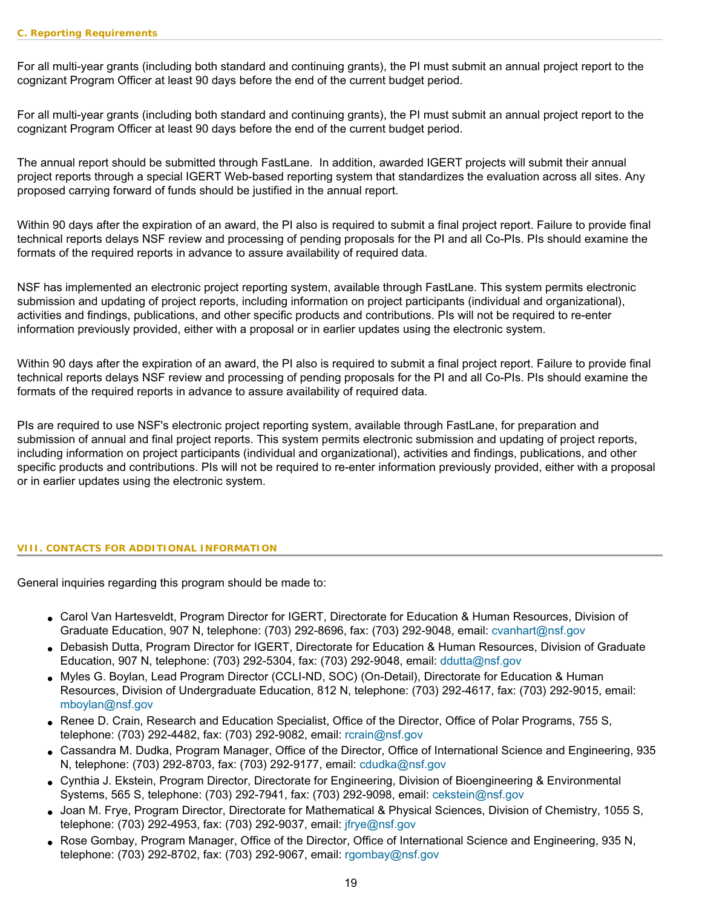For all multi-year grants (including both standard and continuing grants), the PI must submit an annual project report to the cognizant Program Officer at least 90 days before the end of the current budget period.

For all multi-year grants (including both standard and continuing grants), the PI must submit an annual project report to the cognizant Program Officer at least 90 days before the end of the current budget period.

The annual report should be submitted through FastLane. In addition, awarded IGERT projects will submit their annual project reports through a special IGERT Web-based reporting system that standardizes the evaluation across all sites. Any proposed carrying forward of funds should be justified in the annual report.

Within 90 days after the expiration of an award, the PI also is required to submit a final project report. Failure to provide final technical reports delays NSF review and processing of pending proposals for the PI and all Co-PIs. PIs should examine the formats of the required reports in advance to assure availability of required data.

NSF has implemented an electronic project reporting system, available through FastLane. This system permits electronic submission and updating of project reports, including information on project participants (individual and organizational), activities and findings, publications, and other specific products and contributions. PIs will not be required to re-enter information previously provided, either with a proposal or in earlier updates using the electronic system.

Within 90 days after the expiration of an award, the PI also is required to submit a final project report. Failure to provide final technical reports delays NSF review and processing of pending proposals for the PI and all Co-PIs. PIs should examine the formats of the required reports in advance to assure availability of required data.

PIs are required to use NSF's electronic project reporting system, available through FastLane, for preparation and submission of annual and final project reports. This system permits electronic submission and updating of project reports, including information on project participants (individual and organizational), activities and findings, publications, and other specific products and contributions. PIs will not be required to re-enter information previously provided, either with a proposal or in earlier updates using the electronic system.

### <span id="page-18-0"></span>**VIII. CONTACTS FOR ADDITIONAL INFORMATION**

General inquiries regarding this program should be made to:

- Carol Van Hartesveldt, Program Director for IGERT, Directorate for Education & Human Resources, Division of Graduate Education, 907 N, telephone: (703) 292-8696, fax: (703) 292-9048, email: [cvanhart@nsf.gov](mailto:cvanhart@nsf.gov)
- Debasish Dutta, Program Director for IGERT, Directorate for Education & Human Resources, Division of Graduate Education, 907 N, telephone: (703) 292-5304, fax: (703) 292-9048, email: [ddutta@nsf.gov](mailto:ddutta@nsf.gov)
- Myles G. Boylan, Lead Program Director (CCLI-ND, SOC) (On-Detail), Directorate for Education & Human Resources, Division of Undergraduate Education, 812 N, telephone: (703) 292-4617, fax: (703) 292-9015, email: [mboylan@nsf.gov](mailto:mboylan@nsf.gov)
- Renee D. Crain, Research and Education Specialist, Office of the Director, Office of Polar Programs, 755 S, telephone: (703) 292-4482, fax: (703) 292-9082, email: [rcrain@nsf.gov](mailto:rcrain@nsf.gov)
- Cassandra M. Dudka, Program Manager, Office of the Director, Office of International Science and Engineering, 935 N, telephone: (703) 292-8703, fax: (703) 292-9177, email: [cdudka@nsf.gov](mailto:cdudka@nsf.gov)
- Cynthia J. Ekstein, Program Director, Directorate for Engineering, Division of Bioengineering & Environmental Systems, 565 S, telephone: (703) 292-7941, fax: (703) 292-9098, email: [cekstein@nsf.gov](mailto:cekstein@nsf.gov)
- Joan M. Frye, Program Director, Directorate for Mathematical & Physical Sciences, Division of Chemistry, 1055 S, telephone: (703) 292-4953, fax: (703) 292-9037, email: [jfrye@nsf.gov](mailto:jfrye@nsf.gov)
- Rose Gombay, Program Manager, Office of the Director, Office of International Science and Engineering, 935 N, telephone: (703) 292-8702, fax: (703) 292-9067, email: [rgombay@nsf.gov](mailto:rgombay@nsf.gov)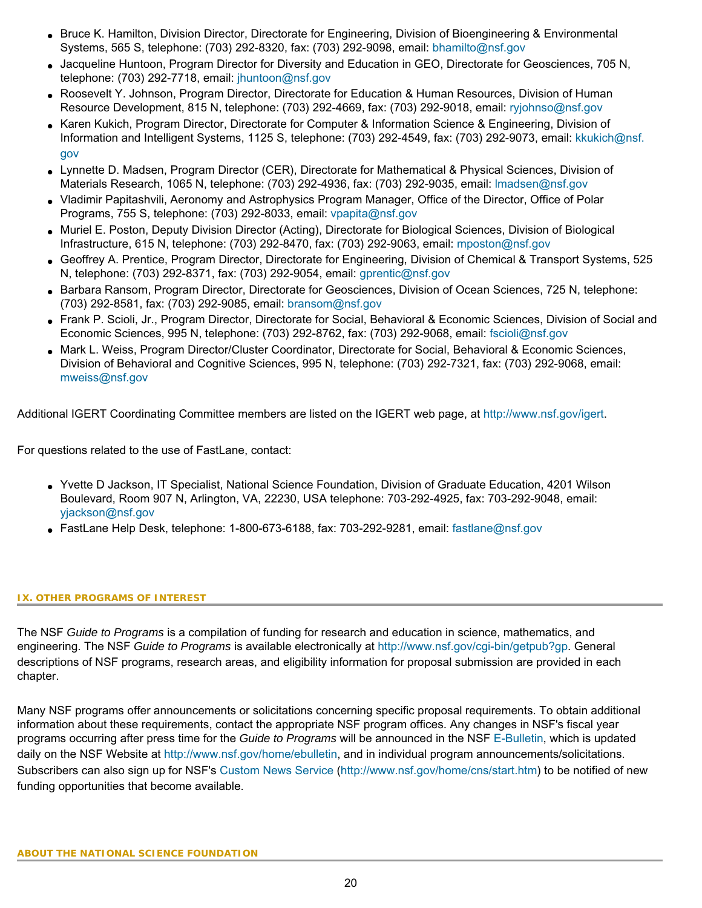- Bruce K. Hamilton, Division Director, Directorate for Engineering, Division of Bioengineering & Environmental Systems, 565 S, telephone: (703) 292-8320, fax: (703) 292-9098, email: [bhamilto@nsf.gov](mailto:bhamilto@nsf.gov)
- Jacqueline Huntoon, Program Director for Diversity and Education in GEO, Directorate for Geosciences, 705 N, telephone: (703) 292-7718, email: [jhuntoon@nsf.gov](mailto:jhuntoon@nsf.gov)
- Roosevelt Y. Johnson, Program Director, Directorate for Education & Human Resources, Division of Human Resource Development, 815 N, telephone: (703) 292-4669, fax: (703) 292-9018, email: [ryjohnso@nsf.gov](mailto:ryjohnso@nsf.gov)
- Karen Kukich, Program Director, Directorate for Computer & Information Science & Engineering, Division of Information and Intelligent Systems, 1125 S, telephone: (703) 292-4549, fax: (703) 292-9073, email: [kkukich@nsf.](mailto:kkukich@nsf.gov) [gov](mailto:kkukich@nsf.gov)
- Lynnette D. Madsen, Program Director (CER), Directorate for Mathematical & Physical Sciences, Division of Materials Research, 1065 N, telephone: (703) 292-4936, fax: (703) 292-9035, email: [lmadsen@nsf.gov](mailto:lmadsen@nsf.gov)
- Vladimir Papitashvili, Aeronomy and Astrophysics Program Manager, Office of the Director, Office of Polar Programs, 755 S, telephone: (703) 292-8033, email: [vpapita@nsf.gov](mailto:vpapita@nsf.gov)
- Muriel E. Poston, Deputy Division Director (Acting), Directorate for Biological Sciences, Division of Biological Infrastructure, 615 N, telephone: (703) 292-8470, fax: (703) 292-9063, email: [mposton@nsf.gov](mailto:mposton@nsf.gov)
- Geoffrey A. Prentice, Program Director, Directorate for Engineering, Division of Chemical & Transport Systems, 525 N, telephone: (703) 292-8371, fax: (703) 292-9054, email: [gprentic@nsf.gov](mailto:gprentic@nsf.gov)
- Barbara Ransom, Program Director, Directorate for Geosciences, Division of Ocean Sciences, 725 N, telephone: (703) 292-8581, fax: (703) 292-9085, email: [bransom@nsf.gov](mailto:bransom@nsf.gov)
- Frank P. Scioli, Jr., Program Director, Directorate for Social, Behavioral & Economic Sciences, Division of Social and Economic Sciences, 995 N, telephone: (703) 292-8762, fax: (703) 292-9068, email: [fscioli@nsf.gov](mailto:fscioli@nsf.gov)
- Mark L. Weiss, Program Director/Cluster Coordinator, Directorate for Social, Behavioral & Economic Sciences, Division of Behavioral and Cognitive Sciences, 995 N, telephone: (703) 292-7321, fax: (703) 292-9068, email: [mweiss@nsf.gov](mailto:mweiss@nsf.gov)

Additional IGERT Coordinating Committee members are listed on the IGERT web page, at [http://www.nsf.gov/igert.](http://www.nsf.gov/igert)

For questions related to the use of FastLane, contact:

- Yvette D Jackson, IT Specialist, National Science Foundation, Division of Graduate Education, 4201 Wilson Boulevard, Room 907 N, Arlington, VA, 22230, USA telephone: 703-292-4925, fax: 703-292-9048, email: [yjackson@nsf.gov](mailto:yjackson@nsf.gov)
- FastLane Help Desk, telephone: 1-800-673-6188, fax: 703-292-9281, email: [fastlane@nsf.gov](mailto:fastlane@nsf.gov)

#### <span id="page-19-0"></span>**IX. OTHER PROGRAMS OF INTEREST**

The NSF *Guide to Programs* is a compilation of funding for research and education in science, mathematics, and engineering. The NSF *Guide to Programs* is available electronically at <http://www.nsf.gov/cgi-bin/getpub?gp>. General descriptions of NSF programs, research areas, and eligibility information for proposal submission are provided in each chapter.

Many NSF programs offer announcements or solicitations concerning specific proposal requirements. To obtain additional information about these requirements, contact the appropriate NSF program offices. Any changes in NSF's fiscal year programs occurring after press time for the *Guide to Programs* will be announced in the NSF [E-Bulletin](http://www.nsf.gov/home/ebulletin), which is updated daily on the NSF Website at<http://www.nsf.gov/home/ebulletin>, and in individual program announcements/solicitations. Subscribers can also sign up for NSF's [Custom News Service](http://www.nsf.gov/home/cns/start.htm) [\(http://www.nsf.gov/home/cns/start.htm\)](http://www.nsf.gov/home/cns/start.htm) to be notified of new funding opportunities that become available.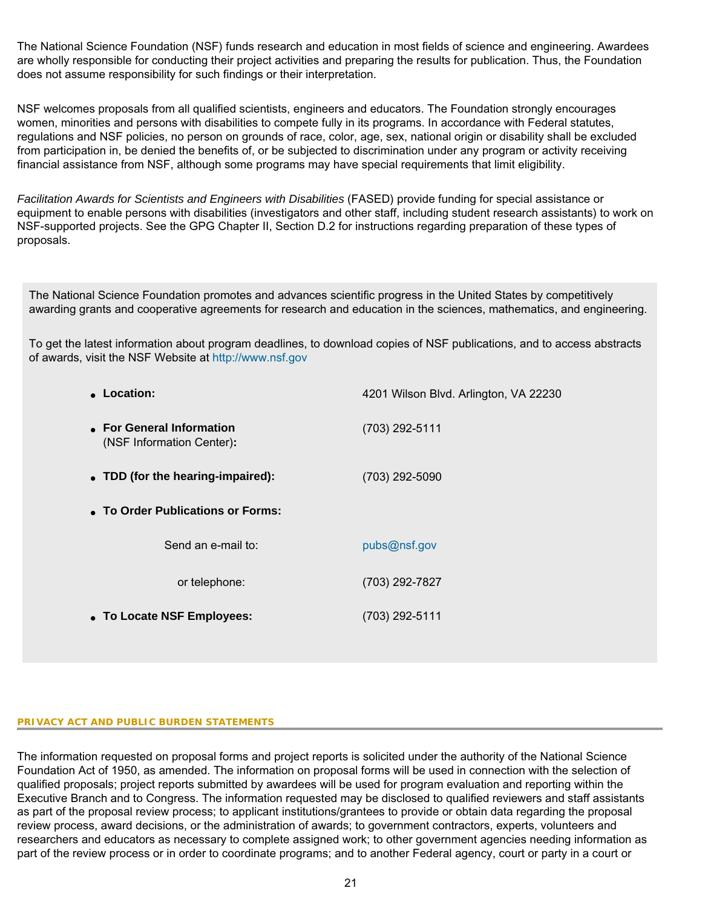The National Science Foundation (NSF) funds research and education in most fields of science and engineering. Awardees are wholly responsible for conducting their project activities and preparing the results for publication. Thus, the Foundation does not assume responsibility for such findings or their interpretation.

NSF welcomes proposals from all qualified scientists, engineers and educators. The Foundation strongly encourages women, minorities and persons with disabilities to compete fully in its programs. In accordance with Federal statutes, regulations and NSF policies, no person on grounds of race, color, age, sex, national origin or disability shall be excluded from participation in, be denied the benefits of, or be subjected to discrimination under any program or activity receiving financial assistance from NSF, although some programs may have special requirements that limit eligibility.

*Facilitation Awards for Scientists and Engineers with Disabilities* (FASED) provide funding for special assistance or equipment to enable persons with disabilities (investigators and other staff, including student research assistants) to work on NSF-supported projects. See the GPG Chapter II, Section D.2 for instructions regarding preparation of these types of proposals.

The National Science Foundation promotes and advances scientific progress in the United States by competitively awarding grants and cooperative agreements for research and education in the sciences, mathematics, and engineering.

To get the latest information about program deadlines, to download copies of NSF publications, and to access abstracts of awards, visit the NSF Website at [http://www.nsf.gov](http://www.nsf.gov/)

| • Location:                                            | 4201 Wilson Blvd. Arlington, VA 22230 |
|--------------------------------------------------------|---------------------------------------|
| • For General Information<br>(NSF Information Center): | (703) 292-5111                        |
| • TDD (for the hearing-impaired):                      | (703) 292-5090                        |
| • To Order Publications or Forms:                      |                                       |
| Send an e-mail to:                                     | pubs@nsf.gov                          |
| or telephone:                                          | (703) 292-7827                        |
| • To Locate NSF Employees:                             | (703) 292-5111                        |

### **PRIVACY ACT AND PUBLIC BURDEN STATEMENTS**

The information requested on proposal forms and project reports is solicited under the authority of the National Science Foundation Act of 1950, as amended. The information on proposal forms will be used in connection with the selection of qualified proposals; project reports submitted by awardees will be used for program evaluation and reporting within the Executive Branch and to Congress. The information requested may be disclosed to qualified reviewers and staff assistants as part of the proposal review process; to applicant institutions/grantees to provide or obtain data regarding the proposal review process, award decisions, or the administration of awards; to government contractors, experts, volunteers and researchers and educators as necessary to complete assigned work; to other government agencies needing information as part of the review process or in order to coordinate programs; and to another Federal agency, court or party in a court or